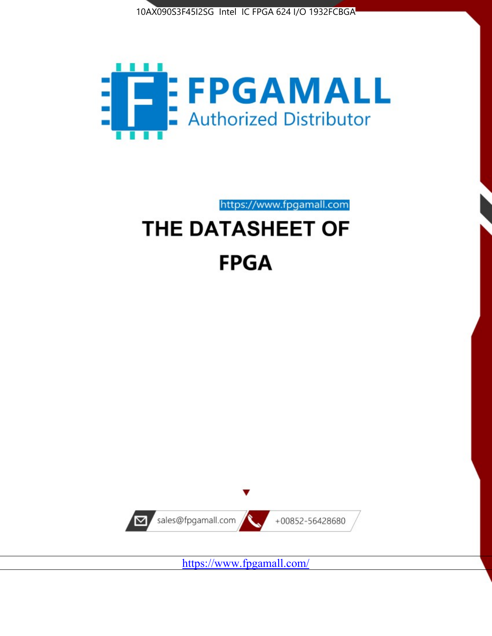



https://www.fpgamall.com

# THE DATASHEET OF **FPGA**



<https://www.fpgamall.com/>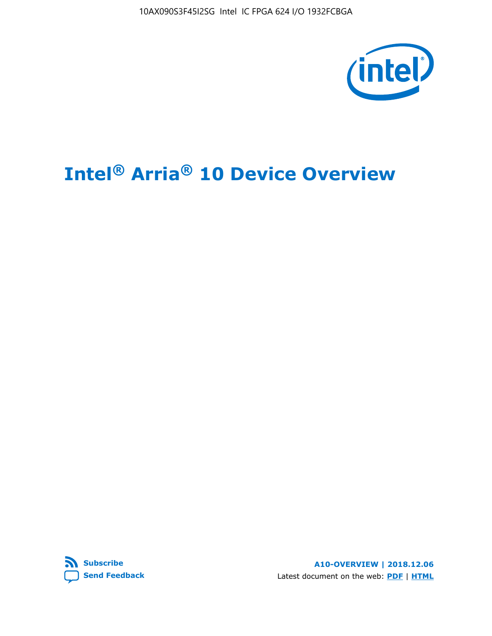10AX090S3F45I2SG Intel IC FPGA 624 I/O 1932FCBGA



# **Intel® Arria® 10 Device Overview**



**A10-OVERVIEW | 2018.12.06** Latest document on the web: **[PDF](https://www.intel.com/content/dam/www/programmable/us/en/pdfs/literature/hb/arria-10/a10_overview.pdf)** | **[HTML](https://www.intel.com/content/www/us/en/programmable/documentation/sam1403480274650.html)**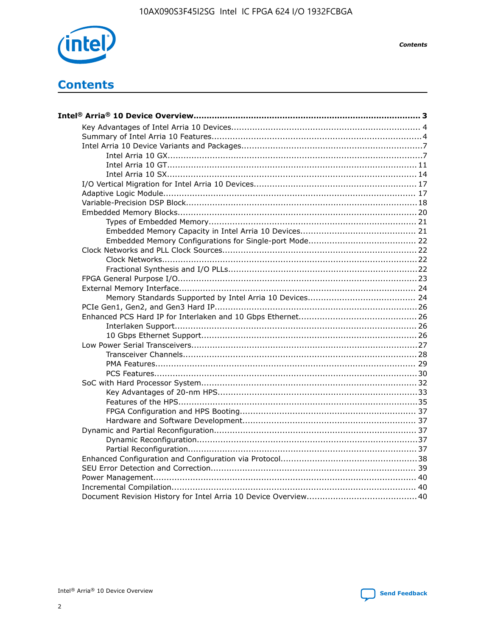

**Contents** 

# **Contents**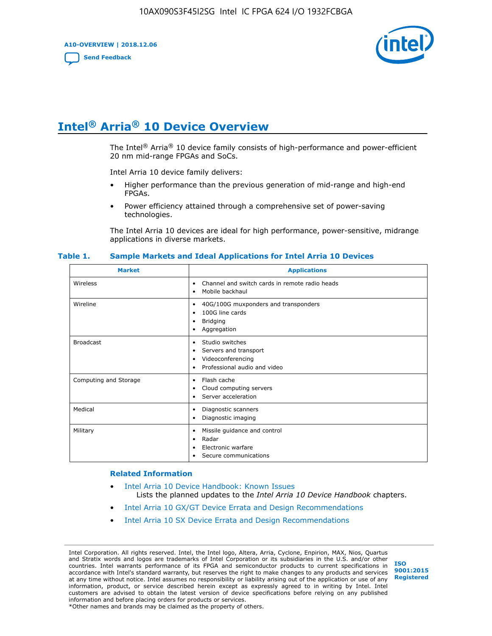**A10-OVERVIEW | 2018.12.06**

**[Send Feedback](mailto:FPGAtechdocfeedback@intel.com?subject=Feedback%20on%20Intel%20Arria%2010%20Device%20Overview%20(A10-OVERVIEW%202018.12.06)&body=We%20appreciate%20your%20feedback.%20In%20your%20comments,%20also%20specify%20the%20page%20number%20or%20paragraph.%20Thank%20you.)**



# **Intel® Arria® 10 Device Overview**

The Intel<sup>®</sup> Arria<sup>®</sup> 10 device family consists of high-performance and power-efficient 20 nm mid-range FPGAs and SoCs.

Intel Arria 10 device family delivers:

- Higher performance than the previous generation of mid-range and high-end FPGAs.
- Power efficiency attained through a comprehensive set of power-saving technologies.

The Intel Arria 10 devices are ideal for high performance, power-sensitive, midrange applications in diverse markets.

| <b>Market</b>         | <b>Applications</b>                                                                                               |
|-----------------------|-------------------------------------------------------------------------------------------------------------------|
| Wireless              | Channel and switch cards in remote radio heads<br>٠<br>Mobile backhaul<br>٠                                       |
| Wireline              | 40G/100G muxponders and transponders<br>٠<br>100G line cards<br>٠<br><b>Bridging</b><br>٠<br>Aggregation<br>٠     |
| <b>Broadcast</b>      | Studio switches<br>٠<br>Servers and transport<br>٠<br>Videoconferencing<br>٠<br>Professional audio and video<br>٠ |
| Computing and Storage | Flash cache<br>٠<br>Cloud computing servers<br>٠<br>Server acceleration<br>٠                                      |
| Medical               | Diagnostic scanners<br>٠<br>Diagnostic imaging<br>٠                                                               |
| Military              | Missile guidance and control<br>٠<br>Radar<br>٠<br>Electronic warfare<br>٠<br>Secure communications<br>٠          |

#### **Table 1. Sample Markets and Ideal Applications for Intel Arria 10 Devices**

#### **Related Information**

- [Intel Arria 10 Device Handbook: Known Issues](http://www.altera.com/support/kdb/solutions/rd07302013_646.html) Lists the planned updates to the *Intel Arria 10 Device Handbook* chapters.
- [Intel Arria 10 GX/GT Device Errata and Design Recommendations](https://www.intel.com/content/www/us/en/programmable/documentation/agz1493851706374.html#yqz1494433888646)
- [Intel Arria 10 SX Device Errata and Design Recommendations](https://www.intel.com/content/www/us/en/programmable/documentation/cru1462832385668.html#cru1462832558642)

Intel Corporation. All rights reserved. Intel, the Intel logo, Altera, Arria, Cyclone, Enpirion, MAX, Nios, Quartus and Stratix words and logos are trademarks of Intel Corporation or its subsidiaries in the U.S. and/or other countries. Intel warrants performance of its FPGA and semiconductor products to current specifications in accordance with Intel's standard warranty, but reserves the right to make changes to any products and services at any time without notice. Intel assumes no responsibility or liability arising out of the application or use of any information, product, or service described herein except as expressly agreed to in writing by Intel. Intel customers are advised to obtain the latest version of device specifications before relying on any published information and before placing orders for products or services. \*Other names and brands may be claimed as the property of others.

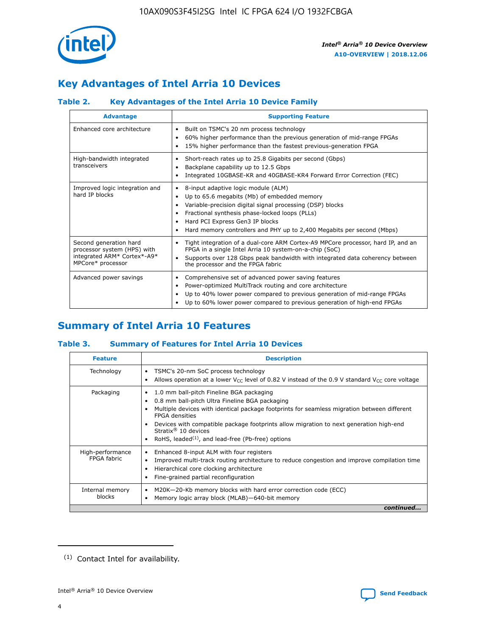

# **Key Advantages of Intel Arria 10 Devices**

# **Table 2. Key Advantages of the Intel Arria 10 Device Family**

| <b>Advantage</b>                                                                                          | <b>Supporting Feature</b>                                                                                                                                                                                                                                                                                                |  |  |  |  |  |
|-----------------------------------------------------------------------------------------------------------|--------------------------------------------------------------------------------------------------------------------------------------------------------------------------------------------------------------------------------------------------------------------------------------------------------------------------|--|--|--|--|--|
| Enhanced core architecture                                                                                | Built on TSMC's 20 nm process technology<br>٠<br>60% higher performance than the previous generation of mid-range FPGAs<br>٠<br>15% higher performance than the fastest previous-generation FPGA<br>٠                                                                                                                    |  |  |  |  |  |
| High-bandwidth integrated<br>transceivers                                                                 | Short-reach rates up to 25.8 Gigabits per second (Gbps)<br>٠<br>Backplane capability up to 12.5 Gbps<br>٠<br>Integrated 10GBASE-KR and 40GBASE-KR4 Forward Error Correction (FEC)<br>٠                                                                                                                                   |  |  |  |  |  |
| Improved logic integration and<br>hard IP blocks                                                          | 8-input adaptive logic module (ALM)<br>٠<br>Up to 65.6 megabits (Mb) of embedded memory<br>٠<br>Variable-precision digital signal processing (DSP) blocks<br>Fractional synthesis phase-locked loops (PLLs)<br>Hard PCI Express Gen3 IP blocks<br>Hard memory controllers and PHY up to 2,400 Megabits per second (Mbps) |  |  |  |  |  |
| Second generation hard<br>processor system (HPS) with<br>integrated ARM* Cortex*-A9*<br>MPCore* processor | Tight integration of a dual-core ARM Cortex-A9 MPCore processor, hard IP, and an<br>٠<br>FPGA in a single Intel Arria 10 system-on-a-chip (SoC)<br>Supports over 128 Gbps peak bandwidth with integrated data coherency between<br>$\bullet$<br>the processor and the FPGA fabric                                        |  |  |  |  |  |
| Advanced power savings                                                                                    | Comprehensive set of advanced power saving features<br>٠<br>Power-optimized MultiTrack routing and core architecture<br>٠<br>Up to 40% lower power compared to previous generation of mid-range FPGAs<br>٠<br>Up to 60% lower power compared to previous generation of high-end FPGAs                                    |  |  |  |  |  |

# **Summary of Intel Arria 10 Features**

## **Table 3. Summary of Features for Intel Arria 10 Devices**

| <b>Feature</b>                  | <b>Description</b>                                                                                                                                                                                                                                                                                                                                                                                       |
|---------------------------------|----------------------------------------------------------------------------------------------------------------------------------------------------------------------------------------------------------------------------------------------------------------------------------------------------------------------------------------------------------------------------------------------------------|
| Technology                      | TSMC's 20-nm SoC process technology<br>٠<br>Allows operation at a lower $V_{\text{CC}}$ level of 0.82 V instead of the 0.9 V standard $V_{\text{CC}}$ core voltage                                                                                                                                                                                                                                       |
| Packaging                       | 1.0 mm ball-pitch Fineline BGA packaging<br>0.8 mm ball-pitch Ultra Fineline BGA packaging<br>Multiple devices with identical package footprints for seamless migration between different<br><b>FPGA</b> densities<br>Devices with compatible package footprints allow migration to next generation high-end<br>Stratix $\mathcal{R}$ 10 devices<br>RoHS, leaded $(1)$ , and lead-free (Pb-free) options |
| High-performance<br>FPGA fabric | Enhanced 8-input ALM with four registers<br>٠<br>Improved multi-track routing architecture to reduce congestion and improve compilation time<br>Hierarchical core clocking architecture<br>Fine-grained partial reconfiguration                                                                                                                                                                          |
| Internal memory<br>blocks       | M20K-20-Kb memory blocks with hard error correction code (ECC)<br>Memory logic array block (MLAB)-640-bit memory                                                                                                                                                                                                                                                                                         |
|                                 | continued                                                                                                                                                                                                                                                                                                                                                                                                |



<sup>(1)</sup> Contact Intel for availability.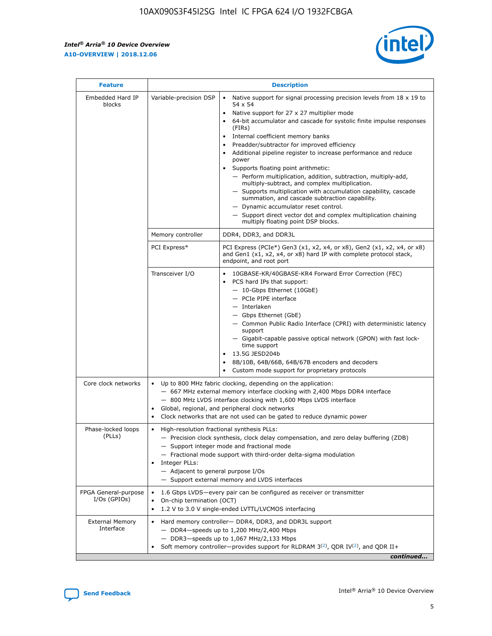r



| <b>Feature</b>                         |                                                                                                                | <b>Description</b>                                                                                                                                                                                                                                                                                                                                                                                                                                                                                                                                                                                                                                                                                                                                                                                                                     |
|----------------------------------------|----------------------------------------------------------------------------------------------------------------|----------------------------------------------------------------------------------------------------------------------------------------------------------------------------------------------------------------------------------------------------------------------------------------------------------------------------------------------------------------------------------------------------------------------------------------------------------------------------------------------------------------------------------------------------------------------------------------------------------------------------------------------------------------------------------------------------------------------------------------------------------------------------------------------------------------------------------------|
| Embedded Hard IP<br>blocks             | Variable-precision DSP                                                                                         | Native support for signal processing precision levels from $18 \times 19$ to<br>54 x 54<br>Native support for 27 x 27 multiplier mode<br>64-bit accumulator and cascade for systolic finite impulse responses<br>(FIRs)<br>Internal coefficient memory banks<br>$\bullet$<br>Preadder/subtractor for improved efficiency<br>Additional pipeline register to increase performance and reduce<br>power<br>Supports floating point arithmetic:<br>- Perform multiplication, addition, subtraction, multiply-add,<br>multiply-subtract, and complex multiplication.<br>- Supports multiplication with accumulation capability, cascade<br>summation, and cascade subtraction capability.<br>- Dynamic accumulator reset control.<br>- Support direct vector dot and complex multiplication chaining<br>multiply floating point DSP blocks. |
|                                        | Memory controller                                                                                              | DDR4, DDR3, and DDR3L                                                                                                                                                                                                                                                                                                                                                                                                                                                                                                                                                                                                                                                                                                                                                                                                                  |
|                                        | PCI Express*                                                                                                   | PCI Express (PCIe*) Gen3 (x1, x2, x4, or x8), Gen2 (x1, x2, x4, or x8)<br>and Gen1 (x1, x2, x4, or x8) hard IP with complete protocol stack,<br>endpoint, and root port                                                                                                                                                                                                                                                                                                                                                                                                                                                                                                                                                                                                                                                                |
|                                        | Transceiver I/O                                                                                                | 10GBASE-KR/40GBASE-KR4 Forward Error Correction (FEC)<br>PCS hard IPs that support:<br>$\bullet$<br>- 10-Gbps Ethernet (10GbE)<br>- PCIe PIPE interface<br>$-$ Interlaken<br>- Gbps Ethernet (GbE)<br>- Common Public Radio Interface (CPRI) with deterministic latency<br>support<br>- Gigabit-capable passive optical network (GPON) with fast lock-<br>time support<br>13.5G JESD204b<br>$\bullet$<br>8B/10B, 64B/66B, 64B/67B encoders and decoders<br>Custom mode support for proprietary protocols                                                                                                                                                                                                                                                                                                                               |
| Core clock networks                    | $\bullet$<br>$\bullet$                                                                                         | Up to 800 MHz fabric clocking, depending on the application:<br>- 667 MHz external memory interface clocking with 2,400 Mbps DDR4 interface<br>- 800 MHz LVDS interface clocking with 1,600 Mbps LVDS interface<br>Global, regional, and peripheral clock networks<br>Clock networks that are not used can be gated to reduce dynamic power                                                                                                                                                                                                                                                                                                                                                                                                                                                                                            |
| Phase-locked loops<br>(PLLs)           | High-resolution fractional synthesis PLLs:<br>$\bullet$<br>Integer PLLs:<br>- Adjacent to general purpose I/Os | - Precision clock synthesis, clock delay compensation, and zero delay buffering (ZDB)<br>- Support integer mode and fractional mode<br>- Fractional mode support with third-order delta-sigma modulation<br>- Support external memory and LVDS interfaces                                                                                                                                                                                                                                                                                                                                                                                                                                                                                                                                                                              |
| FPGA General-purpose<br>$I/Os$ (GPIOs) | On-chip termination (OCT)                                                                                      | 1.6 Gbps LVDS-every pair can be configured as receiver or transmitter<br>1.2 V to 3.0 V single-ended LVTTL/LVCMOS interfacing                                                                                                                                                                                                                                                                                                                                                                                                                                                                                                                                                                                                                                                                                                          |
| <b>External Memory</b><br>Interface    |                                                                                                                | Hard memory controller- DDR4, DDR3, and DDR3L support<br>$-$ DDR4-speeds up to 1,200 MHz/2,400 Mbps<br>- DDR3-speeds up to 1,067 MHz/2,133 Mbps<br>Soft memory controller—provides support for RLDRAM $3^{(2)}$ , QDR IV $^{(2)}$ , and QDR II+<br>continued                                                                                                                                                                                                                                                                                                                                                                                                                                                                                                                                                                           |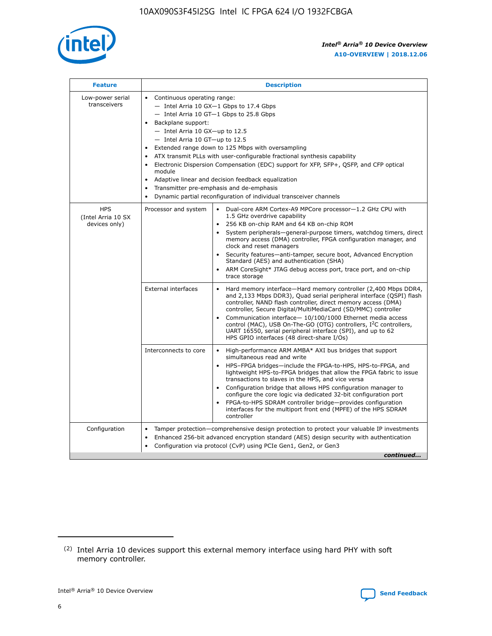

| <b>Feature</b>                                    | <b>Description</b>                                                                                                                                                                                                                                                                                                                                                                                                                                                                                                                                                                                                                                      |  |  |  |  |  |  |  |  |
|---------------------------------------------------|---------------------------------------------------------------------------------------------------------------------------------------------------------------------------------------------------------------------------------------------------------------------------------------------------------------------------------------------------------------------------------------------------------------------------------------------------------------------------------------------------------------------------------------------------------------------------------------------------------------------------------------------------------|--|--|--|--|--|--|--|--|
| Low-power serial<br>transceivers                  | • Continuous operating range:<br>- Intel Arria 10 GX-1 Gbps to 17.4 Gbps<br>- Intel Arria 10 GT-1 Gbps to 25.8 Gbps<br>Backplane support:<br>$-$ Intel Arria 10 GX-up to 12.5<br>- Intel Arria 10 GT-up to 12.5<br>Extended range down to 125 Mbps with oversampling<br>ATX transmit PLLs with user-configurable fractional synthesis capability<br>• Electronic Dispersion Compensation (EDC) support for XFP, SFP+, QSFP, and CFP optical<br>module<br>Adaptive linear and decision feedback equalization<br>$\bullet$<br>Transmitter pre-emphasis and de-emphasis<br>$\bullet$<br>Dynamic partial reconfiguration of individual transceiver channels |  |  |  |  |  |  |  |  |
| <b>HPS</b><br>(Intel Arria 10 SX<br>devices only) | Processor and system<br>Dual-core ARM Cortex-A9 MPCore processor-1.2 GHz CPU with<br>$\bullet$<br>1.5 GHz overdrive capability<br>• 256 KB on-chip RAM and 64 KB on-chip ROM<br>System peripherals-general-purpose timers, watchdog timers, direct<br>memory access (DMA) controller, FPGA configuration manager, and<br>clock and reset managers<br>• Security features—anti-tamper, secure boot, Advanced Encryption<br>Standard (AES) and authentication (SHA)<br>ARM CoreSight* JTAG debug access port, trace port, and on-chip<br>trace storage                                                                                                    |  |  |  |  |  |  |  |  |
|                                                   | <b>External interfaces</b><br>Hard memory interface—Hard memory controller (2,400 Mbps DDR4,<br>$\bullet$<br>and 2,133 Mbps DDR3), Quad serial peripheral interface (QSPI) flash<br>controller, NAND flash controller, direct memory access (DMA)<br>controller, Secure Digital/MultiMediaCard (SD/MMC) controller<br>Communication interface-10/100/1000 Ethernet media access<br>control (MAC), USB On-The-GO (OTG) controllers, I <sup>2</sup> C controllers,<br>UART 16550, serial peripheral interface (SPI), and up to 62<br>HPS GPIO interfaces (48 direct-share I/Os)                                                                           |  |  |  |  |  |  |  |  |
|                                                   | High-performance ARM AMBA* AXI bus bridges that support<br>Interconnects to core<br>$\bullet$<br>simultaneous read and write<br>HPS-FPGA bridges—include the FPGA-to-HPS, HPS-to-FPGA, and<br>lightweight HPS-to-FPGA bridges that allow the FPGA fabric to issue<br>transactions to slaves in the HPS, and vice versa<br>Configuration bridge that allows HPS configuration manager to<br>configure the core logic via dedicated 32-bit configuration port<br>FPGA-to-HPS SDRAM controller bridge-provides configuration<br>interfaces for the multiport front end (MPFE) of the HPS SDRAM<br>controller                                               |  |  |  |  |  |  |  |  |
| Configuration                                     | Tamper protection—comprehensive design protection to protect your valuable IP investments<br>Enhanced 256-bit advanced encryption standard (AES) design security with authentication<br>٠<br>Configuration via protocol (CvP) using PCIe Gen1, Gen2, or Gen3<br>continued                                                                                                                                                                                                                                                                                                                                                                               |  |  |  |  |  |  |  |  |

<sup>(2)</sup> Intel Arria 10 devices support this external memory interface using hard PHY with soft memory controller.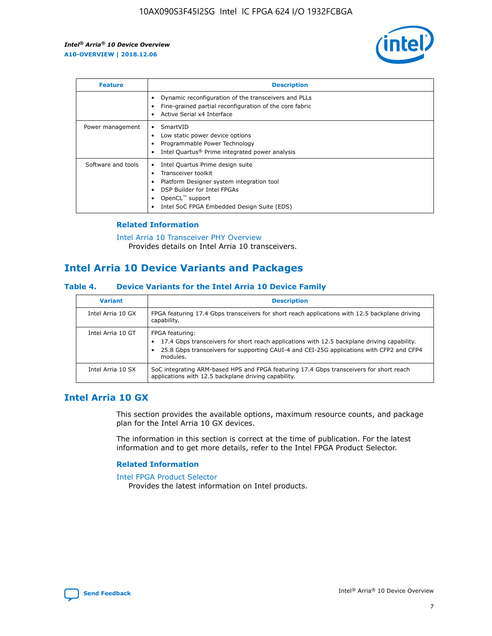

| <b>Feature</b>     | <b>Description</b>                                                                                                                                                                                               |
|--------------------|------------------------------------------------------------------------------------------------------------------------------------------------------------------------------------------------------------------|
|                    | Dynamic reconfiguration of the transceivers and PLLs<br>Fine-grained partial reconfiguration of the core fabric<br>Active Serial x4 Interface<br>$\bullet$                                                       |
| Power management   | SmartVID<br>Low static power device options<br>Programmable Power Technology<br>Intel Quartus <sup>®</sup> Prime integrated power analysis                                                                       |
| Software and tools | Intel Quartus Prime design suite<br>Transceiver toolkit<br>Platform Designer system integration tool<br>DSP Builder for Intel FPGAs<br>OpenCL <sup>™</sup> support<br>Intel SoC FPGA Embedded Design Suite (EDS) |

## **Related Information**

[Intel Arria 10 Transceiver PHY Overview](https://www.intel.com/content/www/us/en/programmable/documentation/nik1398707230472.html#nik1398706768037) Provides details on Intel Arria 10 transceivers.

# **Intel Arria 10 Device Variants and Packages**

#### **Table 4. Device Variants for the Intel Arria 10 Device Family**

| <b>Variant</b>    | <b>Description</b>                                                                                                                                                                                                     |
|-------------------|------------------------------------------------------------------------------------------------------------------------------------------------------------------------------------------------------------------------|
| Intel Arria 10 GX | FPGA featuring 17.4 Gbps transceivers for short reach applications with 12.5 backplane driving<br>capability.                                                                                                          |
| Intel Arria 10 GT | FPGA featuring:<br>17.4 Gbps transceivers for short reach applications with 12.5 backplane driving capability.<br>25.8 Gbps transceivers for supporting CAUI-4 and CEI-25G applications with CFP2 and CFP4<br>modules. |
| Intel Arria 10 SX | SoC integrating ARM-based HPS and FPGA featuring 17.4 Gbps transceivers for short reach<br>applications with 12.5 backplane driving capability.                                                                        |

# **Intel Arria 10 GX**

This section provides the available options, maximum resource counts, and package plan for the Intel Arria 10 GX devices.

The information in this section is correct at the time of publication. For the latest information and to get more details, refer to the Intel FPGA Product Selector.

#### **Related Information**

#### [Intel FPGA Product Selector](http://www.altera.com/products/selector/psg-selector.html) Provides the latest information on Intel products.

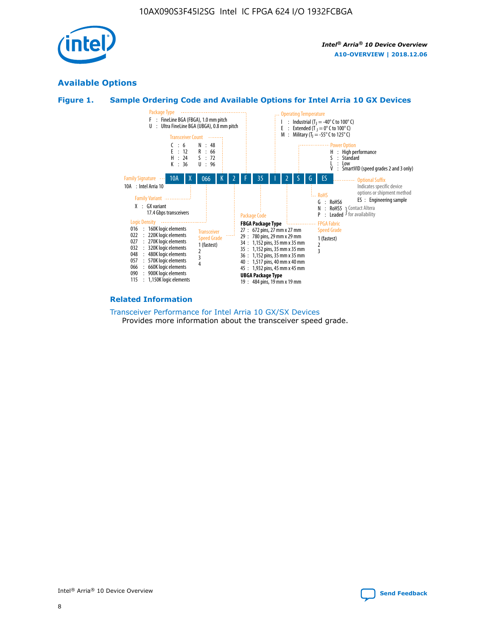

# **Available Options**





#### **Related Information**

[Transceiver Performance for Intel Arria 10 GX/SX Devices](https://www.intel.com/content/www/us/en/programmable/documentation/mcn1413182292568.html#mcn1413213965502) Provides more information about the transceiver speed grade.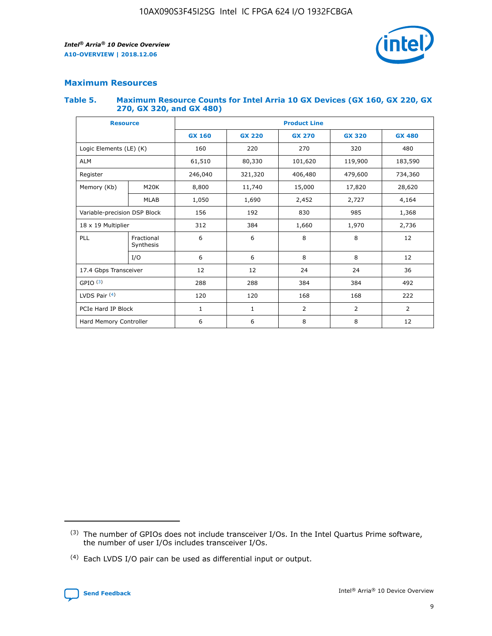

# **Maximum Resources**

#### **Table 5. Maximum Resource Counts for Intel Arria 10 GX Devices (GX 160, GX 220, GX 270, GX 320, and GX 480)**

| <b>Resource</b>         |                              | <b>Product Line</b> |                                                 |                |                |                |  |  |
|-------------------------|------------------------------|---------------------|-------------------------------------------------|----------------|----------------|----------------|--|--|
|                         |                              | <b>GX 160</b>       | <b>GX 220</b><br><b>GX 270</b><br><b>GX 320</b> |                |                | <b>GX 480</b>  |  |  |
| Logic Elements (LE) (K) |                              | 160                 | 220                                             | 270            | 320            | 480            |  |  |
| <b>ALM</b>              |                              | 61,510              | 80,330                                          | 101,620        | 119,900        | 183,590        |  |  |
| Register                |                              | 246,040             | 321,320                                         | 406,480        | 479,600        | 734,360        |  |  |
| Memory (Kb)             | M <sub>20</sub> K            | 8,800               | 11,740                                          | 15,000         | 17,820         | 28,620         |  |  |
| <b>MLAB</b>             |                              | 1,050               | 1,690                                           | 2,452          | 2,727          | 4,164          |  |  |
|                         | Variable-precision DSP Block |                     | 192                                             | 830<br>985     |                | 1,368          |  |  |
| 18 x 19 Multiplier      |                              | 312                 | 384                                             | 1,970<br>1,660 |                | 2,736          |  |  |
| PLL                     | Fractional<br>Synthesis      | 6                   | 6                                               | 8              | 8              | 12             |  |  |
|                         | I/O                          | 6                   | 6                                               | 8              | 8              | 12             |  |  |
| 17.4 Gbps Transceiver   |                              | 12                  | 12                                              | 24             | 24             | 36             |  |  |
| GPIO <sup>(3)</sup>     |                              | 288                 | 288                                             | 384<br>384     |                | 492            |  |  |
| LVDS Pair $(4)$         |                              | 120                 | 120                                             | 168            | 168            | 222            |  |  |
| PCIe Hard IP Block      |                              | 1                   | 1                                               | 2              | $\overline{2}$ | $\overline{2}$ |  |  |
| Hard Memory Controller  |                              | 6                   | 6                                               | 8              | 8              | 12             |  |  |

<sup>(4)</sup> Each LVDS I/O pair can be used as differential input or output.



<sup>(3)</sup> The number of GPIOs does not include transceiver I/Os. In the Intel Quartus Prime software, the number of user I/Os includes transceiver I/Os.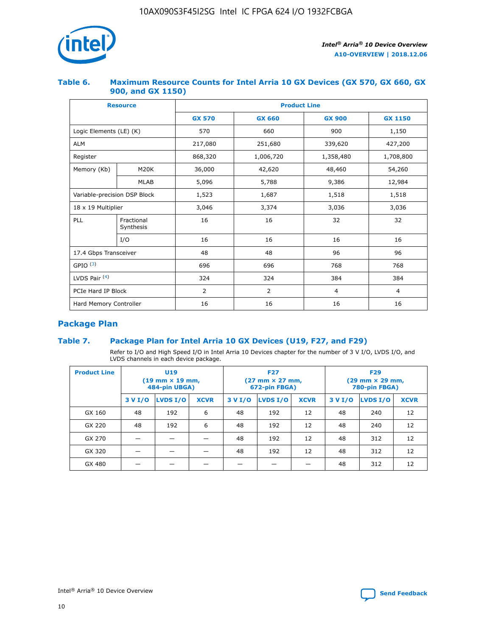

## **Table 6. Maximum Resource Counts for Intel Arria 10 GX Devices (GX 570, GX 660, GX 900, and GX 1150)**

|                              | <b>Resource</b>         | <b>Product Line</b> |                |                |                |  |  |  |
|------------------------------|-------------------------|---------------------|----------------|----------------|----------------|--|--|--|
|                              |                         | <b>GX 570</b>       | <b>GX 660</b>  | <b>GX 900</b>  | <b>GX 1150</b> |  |  |  |
| Logic Elements (LE) (K)      |                         | 570                 | 660            | 900            | 1,150          |  |  |  |
| <b>ALM</b>                   |                         | 217,080             | 251,680        | 339,620        | 427,200        |  |  |  |
| Register                     |                         | 868,320             | 1,006,720      | 1,358,480      | 1,708,800      |  |  |  |
| Memory (Kb)                  | <b>M20K</b>             | 36,000              | 42,620         | 48,460         | 54,260         |  |  |  |
|                              | <b>MLAB</b>             | 5,096               | 5,788          | 9,386          | 12,984         |  |  |  |
| Variable-precision DSP Block |                         | 1,523               | 1,687          | 1,518          | 1,518          |  |  |  |
| $18 \times 19$ Multiplier    |                         | 3,046               | 3,374          | 3,036          | 3,036          |  |  |  |
| PLL                          | Fractional<br>Synthesis | 16                  | 16             | 32             | 32             |  |  |  |
|                              | I/O                     | 16                  | 16             | 16             | 16             |  |  |  |
| 17.4 Gbps Transceiver        |                         | 48                  | 48             | 96             | 96             |  |  |  |
| GPIO <sup>(3)</sup>          |                         | 696                 | 696            | 768            | 768            |  |  |  |
| LVDS Pair $(4)$              |                         | 324                 | 324<br>384     |                | 384            |  |  |  |
| PCIe Hard IP Block           |                         | 2                   | $\overline{2}$ | $\overline{4}$ | 4              |  |  |  |
| Hard Memory Controller       |                         | 16                  | 16             | 16             | 16             |  |  |  |

# **Package Plan**

# **Table 7. Package Plan for Intel Arria 10 GX Devices (U19, F27, and F29)**

Refer to I/O and High Speed I/O in Intel Arria 10 Devices chapter for the number of 3 V I/O, LVDS I/O, and LVDS channels in each device package.

| <b>Product Line</b> | U <sub>19</sub><br>$(19 \text{ mm} \times 19 \text{ mm})$<br>484-pin UBGA) |          |             |         | <b>F27</b><br>(27 mm × 27 mm,<br>672-pin FBGA) |             | <b>F29</b><br>(29 mm × 29 mm,<br>780-pin FBGA) |          |             |  |
|---------------------|----------------------------------------------------------------------------|----------|-------------|---------|------------------------------------------------|-------------|------------------------------------------------|----------|-------------|--|
|                     | 3 V I/O                                                                    | LVDS I/O | <b>XCVR</b> | 3 V I/O | <b>LVDS I/O</b>                                | <b>XCVR</b> | 3 V I/O                                        | LVDS I/O | <b>XCVR</b> |  |
| GX 160              | 48                                                                         | 192      | 6           | 48      | 192                                            | 12          | 48                                             | 240      | 12          |  |
| GX 220              | 48                                                                         | 192      | 6           | 48      | 192                                            | 12          | 48                                             | 240      | 12          |  |
| GX 270              |                                                                            |          |             | 48      | 192                                            | 12          | 48                                             | 312      | 12          |  |
| GX 320              |                                                                            |          |             | 48      | 192                                            | 12          | 48                                             | 312      | 12          |  |
| GX 480              |                                                                            |          |             |         |                                                |             | 48                                             | 312      | 12          |  |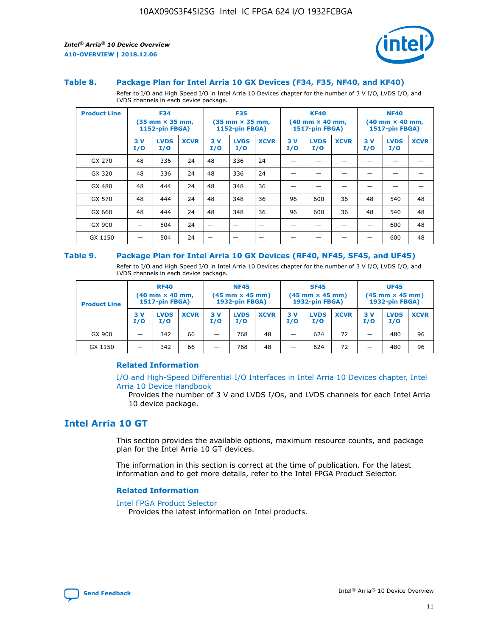

#### **Table 8. Package Plan for Intel Arria 10 GX Devices (F34, F35, NF40, and KF40)**

Refer to I/O and High Speed I/O in Intel Arria 10 Devices chapter for the number of 3 V I/O, LVDS I/O, and LVDS channels in each device package.

| <b>Product Line</b> | <b>F34</b><br>$(35 \text{ mm} \times 35 \text{ mm})$<br><b>1152-pin FBGA)</b> |                    | <b>F35</b><br>$(35 \text{ mm} \times 35 \text{ mm})$<br><b>1152-pin FBGA)</b> |           | <b>KF40</b><br>$(40$ mm $\times$ 40 mm,<br>1517-pin FBGA) |             |           | <b>NF40</b><br>$(40 \text{ mm} \times 40 \text{ mm})$<br>1517-pin FBGA) |             |           |                    |             |
|---------------------|-------------------------------------------------------------------------------|--------------------|-------------------------------------------------------------------------------|-----------|-----------------------------------------------------------|-------------|-----------|-------------------------------------------------------------------------|-------------|-----------|--------------------|-------------|
|                     | 3V<br>I/O                                                                     | <b>LVDS</b><br>I/O | <b>XCVR</b>                                                                   | 3V<br>I/O | <b>LVDS</b><br>I/O                                        | <b>XCVR</b> | 3V<br>I/O | <b>LVDS</b><br>I/O                                                      | <b>XCVR</b> | 3V<br>I/O | <b>LVDS</b><br>I/O | <b>XCVR</b> |
| GX 270              | 48                                                                            | 336                | 24                                                                            | 48        | 336                                                       | 24          |           |                                                                         |             |           |                    |             |
| GX 320              | 48                                                                            | 336                | 24                                                                            | 48        | 336                                                       | 24          |           |                                                                         |             |           |                    |             |
| GX 480              | 48                                                                            | 444                | 24                                                                            | 48        | 348                                                       | 36          |           |                                                                         |             |           |                    |             |
| GX 570              | 48                                                                            | 444                | 24                                                                            | 48        | 348                                                       | 36          | 96        | 600                                                                     | 36          | 48        | 540                | 48          |
| GX 660              | 48                                                                            | 444                | 24                                                                            | 48        | 348                                                       | 36          | 96        | 600                                                                     | 36          | 48        | 540                | 48          |
| GX 900              |                                                                               | 504                | 24                                                                            | –         |                                                           | -           |           |                                                                         |             |           | 600                | 48          |
| GX 1150             |                                                                               | 504                | 24                                                                            |           |                                                           |             |           |                                                                         |             |           | 600                | 48          |

#### **Table 9. Package Plan for Intel Arria 10 GX Devices (RF40, NF45, SF45, and UF45)**

Refer to I/O and High Speed I/O in Intel Arria 10 Devices chapter for the number of 3 V I/O, LVDS I/O, and LVDS channels in each device package.

| <b>Product Line</b> | <b>RF40</b><br>$(40$ mm $\times$ 40 mm,<br>1517-pin FBGA) |                    |             | <b>NF45</b><br>$(45 \text{ mm} \times 45 \text{ mm})$<br><b>1932-pin FBGA)</b> |                    |             | <b>SF45</b><br>$(45 \text{ mm} \times 45 \text{ mm})$<br><b>1932-pin FBGA)</b> |                    |             | <b>UF45</b><br>$(45 \text{ mm} \times 45 \text{ mm})$<br><b>1932-pin FBGA)</b> |                    |             |
|---------------------|-----------------------------------------------------------|--------------------|-------------|--------------------------------------------------------------------------------|--------------------|-------------|--------------------------------------------------------------------------------|--------------------|-------------|--------------------------------------------------------------------------------|--------------------|-------------|
|                     | 3V<br>I/O                                                 | <b>LVDS</b><br>I/O | <b>XCVR</b> | 3 V<br>I/O                                                                     | <b>LVDS</b><br>I/O | <b>XCVR</b> | 3 V<br>I/O                                                                     | <b>LVDS</b><br>I/O | <b>XCVR</b> | 3V<br>I/O                                                                      | <b>LVDS</b><br>I/O | <b>XCVR</b> |
| GX 900              |                                                           | 342                | 66          | _                                                                              | 768                | 48          |                                                                                | 624                | 72          |                                                                                | 480                | 96          |
| GX 1150             |                                                           | 342                | 66          | _                                                                              | 768                | 48          |                                                                                | 624                | 72          |                                                                                | 480                | 96          |

#### **Related Information**

[I/O and High-Speed Differential I/O Interfaces in Intel Arria 10 Devices chapter, Intel](https://www.intel.com/content/www/us/en/programmable/documentation/sam1403482614086.html#sam1403482030321) [Arria 10 Device Handbook](https://www.intel.com/content/www/us/en/programmable/documentation/sam1403482614086.html#sam1403482030321)

Provides the number of 3 V and LVDS I/Os, and LVDS channels for each Intel Arria 10 device package.

# **Intel Arria 10 GT**

This section provides the available options, maximum resource counts, and package plan for the Intel Arria 10 GT devices.

The information in this section is correct at the time of publication. For the latest information and to get more details, refer to the Intel FPGA Product Selector.

#### **Related Information**

#### [Intel FPGA Product Selector](http://www.altera.com/products/selector/psg-selector.html)

Provides the latest information on Intel products.

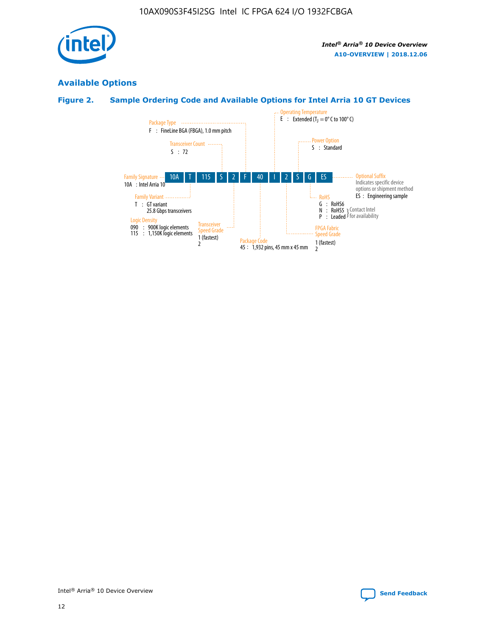

# **Available Options**

# **Figure 2. Sample Ordering Code and Available Options for Intel Arria 10 GT Devices**

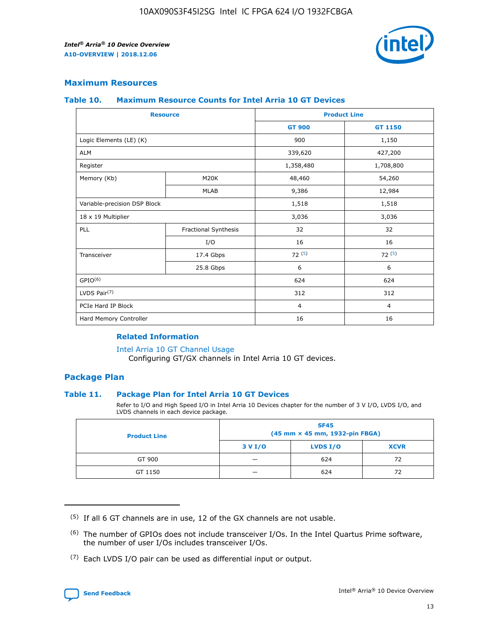

## **Maximum Resources**

#### **Table 10. Maximum Resource Counts for Intel Arria 10 GT Devices**

| <b>Resource</b>              |                      |                | <b>Product Line</b> |  |
|------------------------------|----------------------|----------------|---------------------|--|
|                              |                      | <b>GT 900</b>  | <b>GT 1150</b>      |  |
| Logic Elements (LE) (K)      |                      | 900            | 1,150               |  |
| <b>ALM</b>                   |                      | 339,620        | 427,200             |  |
| Register                     |                      | 1,358,480      | 1,708,800           |  |
| Memory (Kb)                  | M20K                 | 48,460         | 54,260              |  |
|                              | <b>MLAB</b>          | 9,386          | 12,984              |  |
| Variable-precision DSP Block |                      | 1,518          | 1,518               |  |
| 18 x 19 Multiplier           |                      | 3,036          | 3,036               |  |
| PLL                          | Fractional Synthesis | 32             | 32                  |  |
|                              | I/O                  | 16             | 16                  |  |
| Transceiver                  | 17.4 Gbps            | 72(5)          | 72(5)               |  |
|                              | 25.8 Gbps            | 6              | 6                   |  |
| GPIO <sup>(6)</sup>          |                      | 624            | 624                 |  |
| LVDS Pair $(7)$              |                      | 312            | 312                 |  |
| PCIe Hard IP Block           |                      | $\overline{4}$ | $\overline{4}$      |  |
| Hard Memory Controller       |                      | 16             | 16                  |  |

#### **Related Information**

#### [Intel Arria 10 GT Channel Usage](https://www.intel.com/content/www/us/en/programmable/documentation/nik1398707230472.html#nik1398707008178)

Configuring GT/GX channels in Intel Arria 10 GT devices.

## **Package Plan**

#### **Table 11. Package Plan for Intel Arria 10 GT Devices**

Refer to I/O and High Speed I/O in Intel Arria 10 Devices chapter for the number of 3 V I/O, LVDS I/O, and LVDS channels in each device package.

| <b>Product Line</b> | <b>SF45</b><br>(45 mm × 45 mm, 1932-pin FBGA) |                 |             |  |  |  |
|---------------------|-----------------------------------------------|-----------------|-------------|--|--|--|
|                     | 3 V I/O                                       | <b>LVDS I/O</b> | <b>XCVR</b> |  |  |  |
| GT 900              |                                               | 624             | 72          |  |  |  |
| GT 1150             |                                               | 624             | 72          |  |  |  |

<sup>(7)</sup> Each LVDS I/O pair can be used as differential input or output.



 $(5)$  If all 6 GT channels are in use, 12 of the GX channels are not usable.

<sup>(6)</sup> The number of GPIOs does not include transceiver I/Os. In the Intel Quartus Prime software, the number of user I/Os includes transceiver I/Os.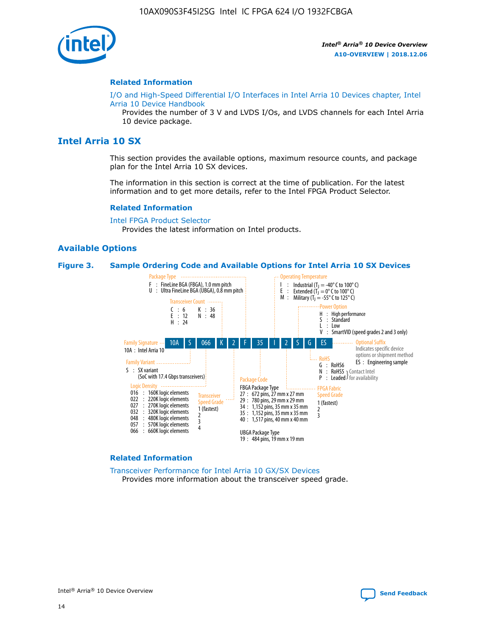

#### **Related Information**

[I/O and High-Speed Differential I/O Interfaces in Intel Arria 10 Devices chapter, Intel](https://www.intel.com/content/www/us/en/programmable/documentation/sam1403482614086.html#sam1403482030321) [Arria 10 Device Handbook](https://www.intel.com/content/www/us/en/programmable/documentation/sam1403482614086.html#sam1403482030321)

Provides the number of 3 V and LVDS I/Os, and LVDS channels for each Intel Arria 10 device package.

# **Intel Arria 10 SX**

This section provides the available options, maximum resource counts, and package plan for the Intel Arria 10 SX devices.

The information in this section is correct at the time of publication. For the latest information and to get more details, refer to the Intel FPGA Product Selector.

#### **Related Information**

[Intel FPGA Product Selector](http://www.altera.com/products/selector/psg-selector.html) Provides the latest information on Intel products.

#### **Available Options**

#### **Figure 3. Sample Ordering Code and Available Options for Intel Arria 10 SX Devices**



#### **Related Information**

[Transceiver Performance for Intel Arria 10 GX/SX Devices](https://www.intel.com/content/www/us/en/programmable/documentation/mcn1413182292568.html#mcn1413213965502) Provides more information about the transceiver speed grade.

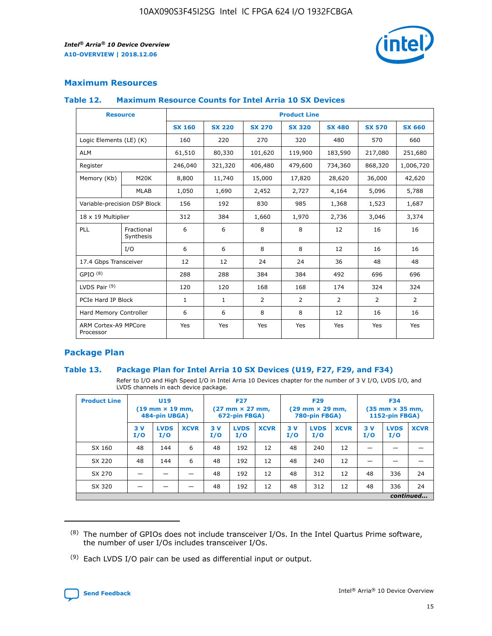

# **Maximum Resources**

#### **Table 12. Maximum Resource Counts for Intel Arria 10 SX Devices**

|                                   | <b>Resource</b>         | <b>Product Line</b> |               |                |                |                |                |                |  |  |  |
|-----------------------------------|-------------------------|---------------------|---------------|----------------|----------------|----------------|----------------|----------------|--|--|--|
|                                   |                         | <b>SX 160</b>       | <b>SX 220</b> | <b>SX 270</b>  | <b>SX 320</b>  | <b>SX 480</b>  | <b>SX 570</b>  | <b>SX 660</b>  |  |  |  |
| Logic Elements (LE) (K)           |                         | 160                 | 220           | 270            | 320            | 480            | 570            | 660            |  |  |  |
| <b>ALM</b>                        |                         | 61,510              | 80,330        | 101,620        | 119,900        | 183,590        | 217,080        | 251,680        |  |  |  |
| Register                          |                         | 246,040             | 321,320       | 406,480        | 479,600        | 734,360        | 868,320        | 1,006,720      |  |  |  |
| Memory (Kb)                       | M <sub>20</sub> K       | 8,800               | 11,740        | 15,000         | 17,820         | 28,620         | 36,000         | 42,620         |  |  |  |
|                                   | <b>MLAB</b>             | 1,050               | 1,690         | 2,452          | 2,727          | 4,164          | 5,096          | 5,788          |  |  |  |
| Variable-precision DSP Block      |                         | 156                 | 192           | 830            | 985            | 1,368          | 1,523          | 1,687          |  |  |  |
|                                   | 18 x 19 Multiplier      |                     | 384           | 1,660          | 1,970          | 2,736          | 3,046          | 3,374          |  |  |  |
| <b>PLL</b>                        | Fractional<br>Synthesis | 6                   | 6             | 8              | 8              | 12             | 16             | 16             |  |  |  |
|                                   | I/O                     | 6                   | 6             | 8              | 8              | 12             | 16             | 16             |  |  |  |
| 17.4 Gbps Transceiver             |                         | 12                  | 12            | 24             | 24             | 36             | 48             | 48             |  |  |  |
| GPIO <sup>(8)</sup>               |                         | 288                 | 288           | 384            | 384            | 492            | 696            | 696            |  |  |  |
| LVDS Pair $(9)$                   |                         | 120                 | 120           | 168            | 168            | 174            | 324            | 324            |  |  |  |
| PCIe Hard IP Block                |                         | $\mathbf{1}$        | $\mathbf{1}$  | $\overline{2}$ | $\overline{2}$ | $\overline{2}$ | $\overline{2}$ | $\overline{2}$ |  |  |  |
| Hard Memory Controller            |                         | 6                   | 6             | 8              | 8              | 12             | 16             | 16             |  |  |  |
| ARM Cortex-A9 MPCore<br>Processor |                         | Yes                 | Yes           | Yes            | Yes            | Yes            | Yes            | Yes            |  |  |  |

# **Package Plan**

#### **Table 13. Package Plan for Intel Arria 10 SX Devices (U19, F27, F29, and F34)**

Refer to I/O and High Speed I/O in Intel Arria 10 Devices chapter for the number of 3 V I/O, LVDS I/O, and LVDS channels in each device package.

| <b>Product Line</b> | <b>U19</b><br>$(19 \text{ mm} \times 19 \text{ mm})$<br>484-pin UBGA) |                    |             | <b>F27</b><br>$(27 \text{ mm} \times 27 \text{ mm})$<br>672-pin FBGA) |                    | <b>F29</b><br>$(29 \text{ mm} \times 29 \text{ mm})$<br>780-pin FBGA) |           |                    | <b>F34</b><br>$(35 \text{ mm} \times 35 \text{ mm})$<br><b>1152-pin FBGA)</b> |           |                    |             |
|---------------------|-----------------------------------------------------------------------|--------------------|-------------|-----------------------------------------------------------------------|--------------------|-----------------------------------------------------------------------|-----------|--------------------|-------------------------------------------------------------------------------|-----------|--------------------|-------------|
|                     | 3V<br>I/O                                                             | <b>LVDS</b><br>I/O | <b>XCVR</b> | 3V<br>I/O                                                             | <b>LVDS</b><br>I/O | <b>XCVR</b>                                                           | 3V<br>I/O | <b>LVDS</b><br>I/O | <b>XCVR</b>                                                                   | 3V<br>I/O | <b>LVDS</b><br>I/O | <b>XCVR</b> |
| SX 160              | 48                                                                    | 144                | 6           | 48                                                                    | 192                | 12                                                                    | 48        | 240                | 12                                                                            | -         |                    |             |
| SX 220              | 48                                                                    | 144                | 6           | 48                                                                    | 192                | 12                                                                    | 48        | 240                | 12                                                                            |           |                    |             |
| SX 270              |                                                                       |                    |             | 48                                                                    | 192                | 12                                                                    | 48        | 312                | 12                                                                            | 48        | 336                | 24          |
| SX 320              |                                                                       |                    |             | 48                                                                    | 192                | 12                                                                    | 48        | 312                | 12                                                                            | 48        | 336                | 24          |
|                     | continued                                                             |                    |             |                                                                       |                    |                                                                       |           |                    |                                                                               |           |                    |             |

 $(8)$  The number of GPIOs does not include transceiver I/Os. In the Intel Quartus Prime software, the number of user I/Os includes transceiver I/Os.

 $(9)$  Each LVDS I/O pair can be used as differential input or output.

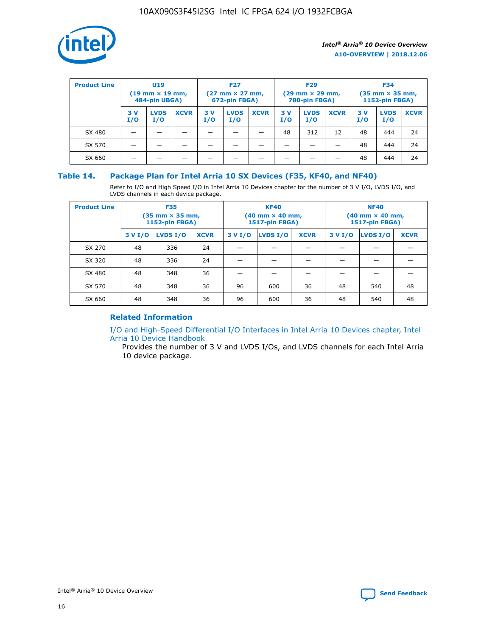

| <b>Product Line</b> | U <sub>19</sub><br>$(19$ mm $\times$ 19 mm,<br>484-pin UBGA) |                    | <b>F27</b><br>$(27 \text{ mm} \times 27 \text{ mm})$<br>672-pin FBGA) |           |                    | <b>F29</b><br>$(29 \text{ mm} \times 29 \text{ mm})$<br>780-pin FBGA) |           |                    | <b>F34</b><br>$(35$ mm $\times$ 35 mm,<br>1152-pin FBGA) |           |                    |             |
|---------------------|--------------------------------------------------------------|--------------------|-----------------------------------------------------------------------|-----------|--------------------|-----------------------------------------------------------------------|-----------|--------------------|----------------------------------------------------------|-----------|--------------------|-------------|
|                     | 3 V<br>I/O                                                   | <b>LVDS</b><br>I/O | <b>XCVR</b>                                                           | 3V<br>I/O | <b>LVDS</b><br>I/O | <b>XCVR</b>                                                           | 3V<br>I/O | <b>LVDS</b><br>I/O | <b>XCVR</b>                                              | 3V<br>I/O | <b>LVDS</b><br>I/O | <b>XCVR</b> |
| SX 480              |                                                              |                    |                                                                       |           |                    |                                                                       | 48        | 312                | 12                                                       | 48        | 444                | 24          |
| SX 570              |                                                              |                    |                                                                       |           |                    |                                                                       |           |                    |                                                          | 48        | 444                | 24          |
| SX 660              |                                                              |                    |                                                                       |           |                    |                                                                       |           |                    |                                                          | 48        | 444                | 24          |

## **Table 14. Package Plan for Intel Arria 10 SX Devices (F35, KF40, and NF40)**

Refer to I/O and High Speed I/O in Intel Arria 10 Devices chapter for the number of 3 V I/O, LVDS I/O, and LVDS channels in each device package.

| <b>Product Line</b> | <b>F35</b><br>$(35 \text{ mm} \times 35 \text{ mm})$<br><b>1152-pin FBGA)</b> |          |             |                                           | <b>KF40</b><br>(40 mm × 40 mm,<br>1517-pin FBGA) |    | <b>NF40</b><br>$(40 \text{ mm} \times 40 \text{ mm})$<br>1517-pin FBGA) |          |             |  |
|---------------------|-------------------------------------------------------------------------------|----------|-------------|-------------------------------------------|--------------------------------------------------|----|-------------------------------------------------------------------------|----------|-------------|--|
|                     | 3 V I/O                                                                       | LVDS I/O | <b>XCVR</b> | <b>LVDS I/O</b><br><b>XCVR</b><br>3 V I/O |                                                  |    | 3 V I/O                                                                 | LVDS I/O | <b>XCVR</b> |  |
| SX 270              | 48                                                                            | 336      | 24          |                                           |                                                  |    |                                                                         |          |             |  |
| SX 320              | 48                                                                            | 336      | 24          |                                           |                                                  |    |                                                                         |          |             |  |
| SX 480              | 48                                                                            | 348      | 36          |                                           |                                                  |    |                                                                         |          |             |  |
| SX 570              | 48                                                                            | 348      | 36          | 96                                        | 600                                              | 36 | 48                                                                      | 540      | 48          |  |
| SX 660              | 48                                                                            | 348      | 36          | 96                                        | 600                                              | 36 | 48                                                                      | 540      | 48          |  |

# **Related Information**

[I/O and High-Speed Differential I/O Interfaces in Intel Arria 10 Devices chapter, Intel](https://www.intel.com/content/www/us/en/programmable/documentation/sam1403482614086.html#sam1403482030321) [Arria 10 Device Handbook](https://www.intel.com/content/www/us/en/programmable/documentation/sam1403482614086.html#sam1403482030321)

Provides the number of 3 V and LVDS I/Os, and LVDS channels for each Intel Arria 10 device package.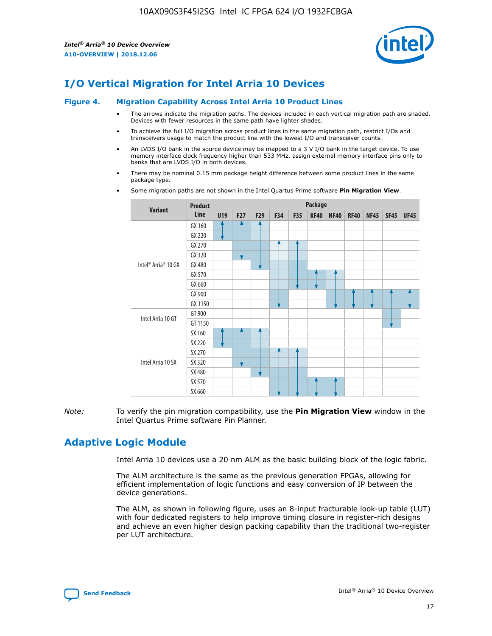

# **I/O Vertical Migration for Intel Arria 10 Devices**

#### **Figure 4. Migration Capability Across Intel Arria 10 Product Lines**

- The arrows indicate the migration paths. The devices included in each vertical migration path are shaded. Devices with fewer resources in the same path have lighter shades.
- To achieve the full I/O migration across product lines in the same migration path, restrict I/Os and transceivers usage to match the product line with the lowest I/O and transceiver counts.
- An LVDS I/O bank in the source device may be mapped to a 3 V I/O bank in the target device. To use memory interface clock frequency higher than 533 MHz, assign external memory interface pins only to banks that are LVDS I/O in both devices.
- There may be nominal 0.15 mm package height difference between some product lines in the same package type.
	- **Variant Product Line Package U19 F27 F29 F34 F35 KF40 NF40 RF40 NF45 SF45 UF45** Intel® Arria® 10 GX GX 160 GX 220 GX 270 GX 320 GX 480 GX 570 GX 660 GX 900 GX 1150 Intel Arria 10 GT GT 900 GT 1150 Intel Arria 10 SX SX 160 SX 220 SX 270 SX 320 SX 480 SX 570 SX 660
- Some migration paths are not shown in the Intel Quartus Prime software **Pin Migration View**.

*Note:* To verify the pin migration compatibility, use the **Pin Migration View** window in the Intel Quartus Prime software Pin Planner.

# **Adaptive Logic Module**

Intel Arria 10 devices use a 20 nm ALM as the basic building block of the logic fabric.

The ALM architecture is the same as the previous generation FPGAs, allowing for efficient implementation of logic functions and easy conversion of IP between the device generations.

The ALM, as shown in following figure, uses an 8-input fracturable look-up table (LUT) with four dedicated registers to help improve timing closure in register-rich designs and achieve an even higher design packing capability than the traditional two-register per LUT architecture.

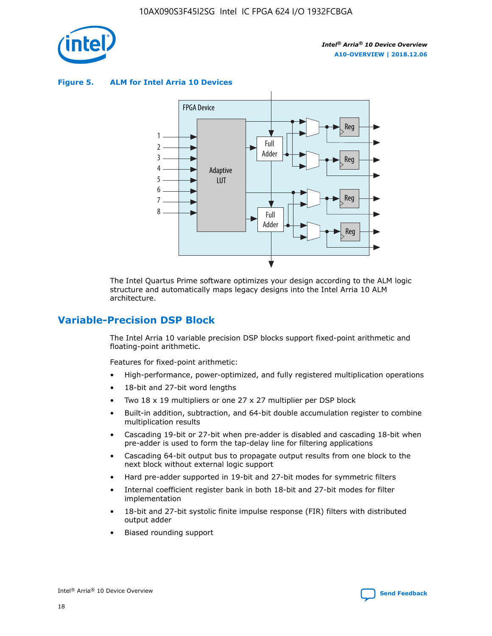

**Figure 5. ALM for Intel Arria 10 Devices**



The Intel Quartus Prime software optimizes your design according to the ALM logic structure and automatically maps legacy designs into the Intel Arria 10 ALM architecture.

# **Variable-Precision DSP Block**

The Intel Arria 10 variable precision DSP blocks support fixed-point arithmetic and floating-point arithmetic.

Features for fixed-point arithmetic:

- High-performance, power-optimized, and fully registered multiplication operations
- 18-bit and 27-bit word lengths
- Two 18 x 19 multipliers or one 27 x 27 multiplier per DSP block
- Built-in addition, subtraction, and 64-bit double accumulation register to combine multiplication results
- Cascading 19-bit or 27-bit when pre-adder is disabled and cascading 18-bit when pre-adder is used to form the tap-delay line for filtering applications
- Cascading 64-bit output bus to propagate output results from one block to the next block without external logic support
- Hard pre-adder supported in 19-bit and 27-bit modes for symmetric filters
- Internal coefficient register bank in both 18-bit and 27-bit modes for filter implementation
- 18-bit and 27-bit systolic finite impulse response (FIR) filters with distributed output adder
- Biased rounding support

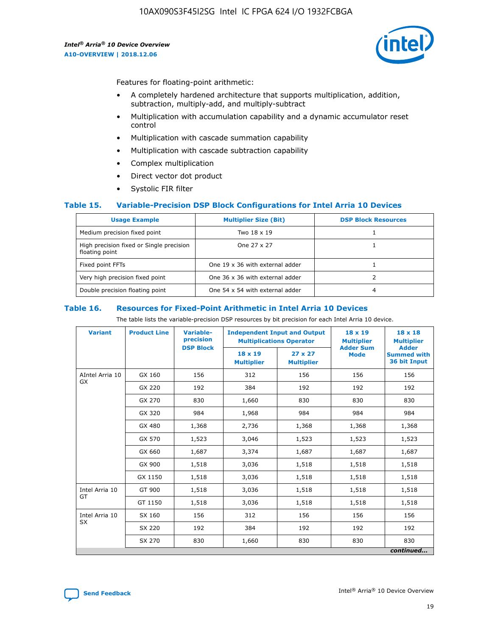

Features for floating-point arithmetic:

- A completely hardened architecture that supports multiplication, addition, subtraction, multiply-add, and multiply-subtract
- Multiplication with accumulation capability and a dynamic accumulator reset control
- Multiplication with cascade summation capability
- Multiplication with cascade subtraction capability
- Complex multiplication
- Direct vector dot product
- Systolic FIR filter

#### **Table 15. Variable-Precision DSP Block Configurations for Intel Arria 10 Devices**

| <b>Usage Example</b>                                       | <b>Multiplier Size (Bit)</b>    | <b>DSP Block Resources</b> |
|------------------------------------------------------------|---------------------------------|----------------------------|
| Medium precision fixed point                               | Two 18 x 19                     |                            |
| High precision fixed or Single precision<br>floating point | One 27 x 27                     |                            |
| Fixed point FFTs                                           | One 19 x 36 with external adder |                            |
| Very high precision fixed point                            | One 36 x 36 with external adder |                            |
| Double precision floating point                            | One 54 x 54 with external adder | 4                          |

#### **Table 16. Resources for Fixed-Point Arithmetic in Intel Arria 10 Devices**

The table lists the variable-precision DSP resources by bit precision for each Intel Arria 10 device.

| <b>Variant</b>        | <b>Product Line</b> | <b>Variable-</b><br>precision<br><b>DSP Block</b> | <b>Independent Input and Output</b><br><b>Multiplications Operator</b> |                                     | 18 x 19<br><b>Multiplier</b><br><b>Adder Sum</b> | $18 \times 18$<br><b>Multiplier</b><br><b>Adder</b> |
|-----------------------|---------------------|---------------------------------------------------|------------------------------------------------------------------------|-------------------------------------|--------------------------------------------------|-----------------------------------------------------|
|                       |                     |                                                   | 18 x 19<br><b>Multiplier</b>                                           | $27 \times 27$<br><b>Multiplier</b> | <b>Mode</b>                                      | <b>Summed with</b><br>36 bit Input                  |
| AIntel Arria 10<br>GX | GX 160              | 156                                               | 312                                                                    | 156                                 | 156                                              | 156                                                 |
|                       | GX 220              | 192                                               | 384                                                                    | 192                                 | 192                                              | 192                                                 |
|                       | GX 270              | 830                                               | 1,660                                                                  | 830                                 | 830                                              | 830                                                 |
|                       | GX 320              | 984                                               | 1,968                                                                  | 984                                 | 984                                              | 984                                                 |
|                       | GX 480              | 1,368                                             | 2,736                                                                  | 1,368                               | 1,368                                            | 1,368                                               |
|                       | GX 570              | 1,523                                             | 3,046                                                                  | 1,523                               | 1,523                                            | 1,523                                               |
|                       | GX 660              | 1,687                                             | 3,374                                                                  | 1,687                               | 1,687                                            | 1,687                                               |
|                       | GX 900              | 1,518                                             | 3,036                                                                  | 1,518                               | 1,518                                            | 1,518                                               |
|                       | GX 1150             | 1,518                                             | 3,036                                                                  | 1,518                               | 1,518                                            | 1,518                                               |
| Intel Arria 10        | GT 900              | 1,518                                             | 3,036                                                                  | 1,518                               | 1,518                                            | 1,518                                               |
| GT                    | GT 1150             | 1,518                                             | 3,036                                                                  | 1,518                               | 1,518                                            | 1,518                                               |
| Intel Arria 10        | SX 160              | 156                                               | 312                                                                    | 156                                 | 156                                              | 156                                                 |
| <b>SX</b>             | SX 220              | 192                                               | 384                                                                    | 192                                 | 192                                              | 192                                                 |
|                       | SX 270              | 830                                               | 1,660                                                                  | 830                                 | 830                                              | 830                                                 |
|                       |                     |                                                   |                                                                        |                                     |                                                  | continued                                           |

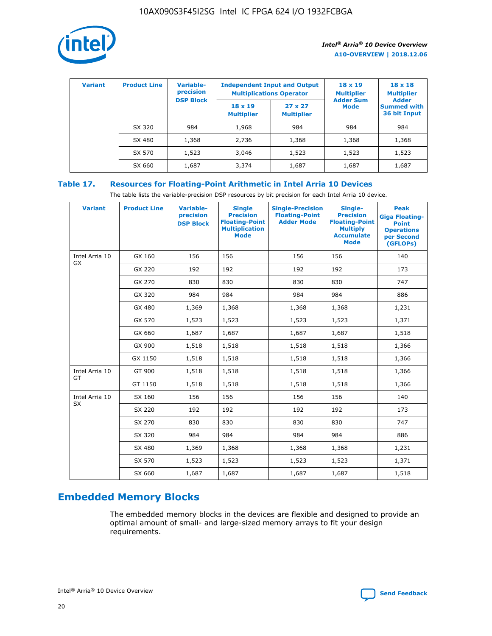

| <b>Variant</b> | <b>Product Line</b> | <b>Variable-</b><br>precision<br><b>DSP Block</b> | <b>Independent Input and Output</b><br><b>Multiplications Operator</b> |                                     | $18 \times 19$<br><b>Multiplier</b><br><b>Adder Sum</b> | $18 \times 18$<br><b>Multiplier</b><br><b>Adder</b> |  |
|----------------|---------------------|---------------------------------------------------|------------------------------------------------------------------------|-------------------------------------|---------------------------------------------------------|-----------------------------------------------------|--|
|                |                     |                                                   | $18 \times 19$<br><b>Multiplier</b>                                    | $27 \times 27$<br><b>Multiplier</b> | <b>Mode</b>                                             | <b>Summed with</b><br>36 bit Input                  |  |
|                | SX 320              | 984                                               | 1,968                                                                  | 984                                 | 984                                                     | 984                                                 |  |
|                | SX 480              | 1,368                                             | 2,736                                                                  | 1,368                               | 1,368                                                   | 1,368                                               |  |
|                | SX 570              | 1,523                                             | 3,046                                                                  | 1,523                               | 1,523                                                   | 1,523                                               |  |
|                | SX 660              | 1,687                                             | 3,374                                                                  | 1,687                               | 1,687                                                   | 1,687                                               |  |

# **Table 17. Resources for Floating-Point Arithmetic in Intel Arria 10 Devices**

The table lists the variable-precision DSP resources by bit precision for each Intel Arria 10 device.

| <b>Variant</b>              | <b>Product Line</b> | <b>Variable-</b><br>precision<br><b>DSP Block</b> | <b>Single</b><br><b>Precision</b><br><b>Floating-Point</b><br><b>Multiplication</b><br><b>Mode</b> | <b>Single-Precision</b><br><b>Floating-Point</b><br><b>Adder Mode</b> | Single-<br><b>Precision</b><br><b>Floating-Point</b><br><b>Multiply</b><br><b>Accumulate</b><br><b>Mode</b> | <b>Peak</b><br><b>Giga Floating-</b><br><b>Point</b><br><b>Operations</b><br>per Second<br>(GFLOPs) |
|-----------------------------|---------------------|---------------------------------------------------|----------------------------------------------------------------------------------------------------|-----------------------------------------------------------------------|-------------------------------------------------------------------------------------------------------------|-----------------------------------------------------------------------------------------------------|
| Intel Arria 10<br>GX        | GX 160              | 156                                               | 156                                                                                                | 156                                                                   | 156                                                                                                         | 140                                                                                                 |
|                             | GX 220              | 192                                               | 192                                                                                                | 192                                                                   | 192                                                                                                         | 173                                                                                                 |
|                             | GX 270              | 830                                               | 830                                                                                                | 830                                                                   | 830                                                                                                         | 747                                                                                                 |
|                             | GX 320              | 984                                               | 984                                                                                                | 984                                                                   | 984                                                                                                         | 886                                                                                                 |
|                             | GX 480              | 1,369                                             | 1,368                                                                                              | 1,368                                                                 | 1,368                                                                                                       | 1,231                                                                                               |
|                             | GX 570              | 1,523                                             | 1,523                                                                                              | 1,523                                                                 | 1,523                                                                                                       | 1,371                                                                                               |
|                             | GX 660              | 1,687                                             | 1,687                                                                                              | 1,687                                                                 | 1,687                                                                                                       | 1,518                                                                                               |
|                             | GX 900              | 1,518                                             | 1,518                                                                                              | 1,518                                                                 | 1,518                                                                                                       | 1,366                                                                                               |
|                             | GX 1150             | 1,518                                             | 1,518                                                                                              | 1,518                                                                 | 1,518                                                                                                       | 1,366                                                                                               |
| Intel Arria 10              | GT 900              | 1,518                                             | 1,518                                                                                              | 1,518                                                                 | 1,518                                                                                                       | 1,366                                                                                               |
| GT                          | GT 1150             | 1,518                                             | 1,518                                                                                              | 1,518                                                                 | 1,518                                                                                                       | 1,366                                                                                               |
| Intel Arria 10<br><b>SX</b> | SX 160              | 156                                               | 156                                                                                                | 156                                                                   | 156                                                                                                         | 140                                                                                                 |
|                             | SX 220              | 192                                               | 192                                                                                                | 192                                                                   | 192                                                                                                         | 173                                                                                                 |
|                             | SX 270              | 830                                               | 830                                                                                                | 830                                                                   | 830                                                                                                         | 747                                                                                                 |
|                             | SX 320              | 984                                               | 984                                                                                                | 984                                                                   | 984                                                                                                         | 886                                                                                                 |
|                             | SX 480              | 1,369                                             | 1,368                                                                                              | 1,368                                                                 | 1,368                                                                                                       | 1,231                                                                                               |
|                             | SX 570              | 1,523                                             | 1,523                                                                                              | 1,523                                                                 | 1,523                                                                                                       | 1,371                                                                                               |
|                             | SX 660              | 1,687                                             | 1,687                                                                                              | 1,687                                                                 | 1,687                                                                                                       | 1,518                                                                                               |

# **Embedded Memory Blocks**

The embedded memory blocks in the devices are flexible and designed to provide an optimal amount of small- and large-sized memory arrays to fit your design requirements.

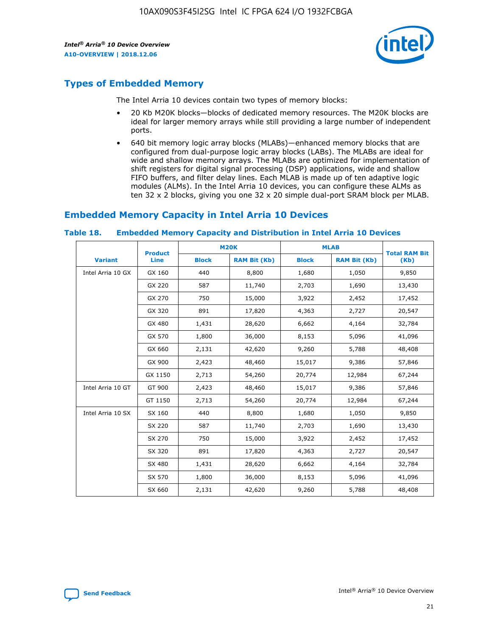

# **Types of Embedded Memory**

The Intel Arria 10 devices contain two types of memory blocks:

- 20 Kb M20K blocks—blocks of dedicated memory resources. The M20K blocks are ideal for larger memory arrays while still providing a large number of independent ports.
- 640 bit memory logic array blocks (MLABs)—enhanced memory blocks that are configured from dual-purpose logic array blocks (LABs). The MLABs are ideal for wide and shallow memory arrays. The MLABs are optimized for implementation of shift registers for digital signal processing (DSP) applications, wide and shallow FIFO buffers, and filter delay lines. Each MLAB is made up of ten adaptive logic modules (ALMs). In the Intel Arria 10 devices, you can configure these ALMs as ten 32 x 2 blocks, giving you one 32 x 20 simple dual-port SRAM block per MLAB.

# **Embedded Memory Capacity in Intel Arria 10 Devices**

|                   | <b>Product</b> |              | <b>M20K</b>         | <b>MLAB</b>  |                     | <b>Total RAM Bit</b> |
|-------------------|----------------|--------------|---------------------|--------------|---------------------|----------------------|
| <b>Variant</b>    | Line           | <b>Block</b> | <b>RAM Bit (Kb)</b> | <b>Block</b> | <b>RAM Bit (Kb)</b> | (Kb)                 |
| Intel Arria 10 GX | GX 160         | 440          | 8,800               | 1,680        | 1,050               | 9,850                |
|                   | GX 220         | 587          | 11,740              | 2,703        | 1,690               | 13,430               |
|                   | GX 270         | 750          | 15,000              | 3,922        | 2,452               | 17,452               |
|                   | GX 320         | 891          | 17,820              | 4,363        | 2,727               | 20,547               |
|                   | GX 480         | 1,431        | 28,620              | 6,662        | 4,164               | 32,784               |
|                   | GX 570         | 1,800        | 36,000              | 8,153        | 5,096               | 41,096               |
|                   | GX 660         | 2,131        | 42,620              | 9,260        | 5,788               | 48,408               |
|                   | GX 900         | 2,423        | 48,460              | 15,017       | 9,386               | 57,846               |
|                   | GX 1150        | 2,713        | 54,260              | 20,774       | 12,984              | 67,244               |
| Intel Arria 10 GT | GT 900         | 2,423        | 48,460              | 15,017       | 9,386               | 57,846               |
|                   | GT 1150        | 2,713        | 54,260              | 20,774       | 12,984              | 67,244               |
| Intel Arria 10 SX | SX 160         | 440          | 8,800               | 1,680        | 1,050               | 9,850                |
|                   | SX 220         | 587          | 11,740              | 2,703        | 1,690               | 13,430               |
|                   | SX 270         | 750          | 15,000              | 3,922        | 2,452               | 17,452               |
|                   | SX 320         | 891          | 17,820              | 4,363        | 2,727               | 20,547               |
|                   | SX 480         | 1,431        | 28,620              | 6,662        | 4,164               | 32,784               |
|                   | SX 570         | 1,800        | 36,000              | 8,153        | 5,096               | 41,096               |
|                   | SX 660         | 2,131        | 42,620              | 9,260        | 5,788               | 48,408               |

#### **Table 18. Embedded Memory Capacity and Distribution in Intel Arria 10 Devices**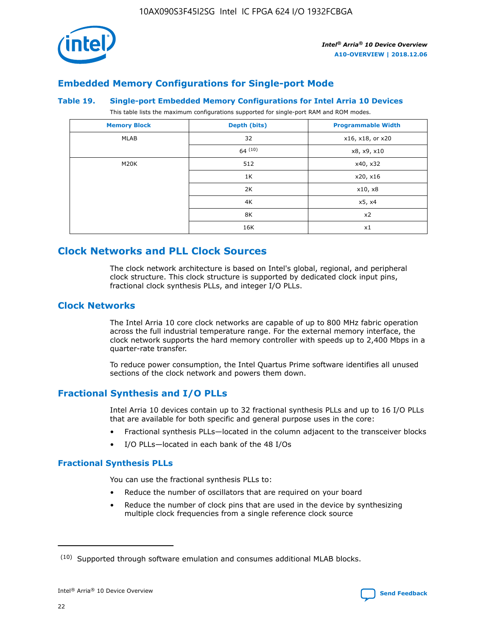

# **Embedded Memory Configurations for Single-port Mode**

#### **Table 19. Single-port Embedded Memory Configurations for Intel Arria 10 Devices**

This table lists the maximum configurations supported for single-port RAM and ROM modes.

| <b>Memory Block</b> | Depth (bits) | <b>Programmable Width</b> |
|---------------------|--------------|---------------------------|
| MLAB                | 32           | x16, x18, or x20          |
|                     | 64(10)       | x8, x9, x10               |
| M20K                | 512          | x40, x32                  |
|                     | 1K           | x20, x16                  |
|                     | 2K           | x10, x8                   |
|                     | 4K           | x5, x4                    |
|                     | 8K           | x2                        |
|                     | 16K          | x1                        |

# **Clock Networks and PLL Clock Sources**

The clock network architecture is based on Intel's global, regional, and peripheral clock structure. This clock structure is supported by dedicated clock input pins, fractional clock synthesis PLLs, and integer I/O PLLs.

# **Clock Networks**

The Intel Arria 10 core clock networks are capable of up to 800 MHz fabric operation across the full industrial temperature range. For the external memory interface, the clock network supports the hard memory controller with speeds up to 2,400 Mbps in a quarter-rate transfer.

To reduce power consumption, the Intel Quartus Prime software identifies all unused sections of the clock network and powers them down.

# **Fractional Synthesis and I/O PLLs**

Intel Arria 10 devices contain up to 32 fractional synthesis PLLs and up to 16 I/O PLLs that are available for both specific and general purpose uses in the core:

- Fractional synthesis PLLs—located in the column adjacent to the transceiver blocks
- I/O PLLs—located in each bank of the 48 I/Os

# **Fractional Synthesis PLLs**

You can use the fractional synthesis PLLs to:

- Reduce the number of oscillators that are required on your board
- Reduce the number of clock pins that are used in the device by synthesizing multiple clock frequencies from a single reference clock source

<sup>(10)</sup> Supported through software emulation and consumes additional MLAB blocks.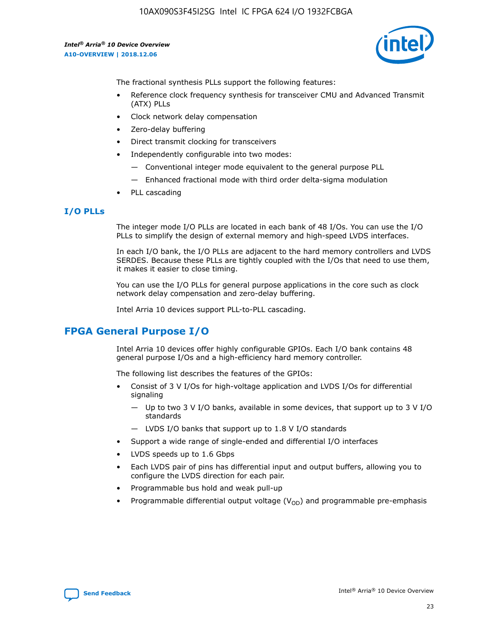

The fractional synthesis PLLs support the following features:

- Reference clock frequency synthesis for transceiver CMU and Advanced Transmit (ATX) PLLs
- Clock network delay compensation
- Zero-delay buffering
- Direct transmit clocking for transceivers
- Independently configurable into two modes:
	- Conventional integer mode equivalent to the general purpose PLL
	- Enhanced fractional mode with third order delta-sigma modulation
- PLL cascading

# **I/O PLLs**

The integer mode I/O PLLs are located in each bank of 48 I/Os. You can use the I/O PLLs to simplify the design of external memory and high-speed LVDS interfaces.

In each I/O bank, the I/O PLLs are adjacent to the hard memory controllers and LVDS SERDES. Because these PLLs are tightly coupled with the I/Os that need to use them, it makes it easier to close timing.

You can use the I/O PLLs for general purpose applications in the core such as clock network delay compensation and zero-delay buffering.

Intel Arria 10 devices support PLL-to-PLL cascading.

# **FPGA General Purpose I/O**

Intel Arria 10 devices offer highly configurable GPIOs. Each I/O bank contains 48 general purpose I/Os and a high-efficiency hard memory controller.

The following list describes the features of the GPIOs:

- Consist of 3 V I/Os for high-voltage application and LVDS I/Os for differential signaling
	- Up to two 3 V I/O banks, available in some devices, that support up to 3 V I/O standards
	- LVDS I/O banks that support up to 1.8 V I/O standards
- Support a wide range of single-ended and differential I/O interfaces
- LVDS speeds up to 1.6 Gbps
- Each LVDS pair of pins has differential input and output buffers, allowing you to configure the LVDS direction for each pair.
- Programmable bus hold and weak pull-up
- Programmable differential output voltage  $(V_{OD})$  and programmable pre-emphasis

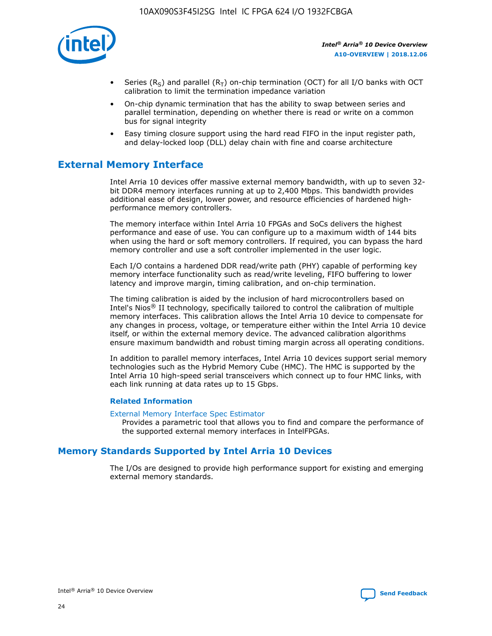

- Series (R<sub>S</sub>) and parallel (R<sub>T</sub>) on-chip termination (OCT) for all I/O banks with OCT calibration to limit the termination impedance variation
- On-chip dynamic termination that has the ability to swap between series and parallel termination, depending on whether there is read or write on a common bus for signal integrity
- Easy timing closure support using the hard read FIFO in the input register path, and delay-locked loop (DLL) delay chain with fine and coarse architecture

# **External Memory Interface**

Intel Arria 10 devices offer massive external memory bandwidth, with up to seven 32 bit DDR4 memory interfaces running at up to 2,400 Mbps. This bandwidth provides additional ease of design, lower power, and resource efficiencies of hardened highperformance memory controllers.

The memory interface within Intel Arria 10 FPGAs and SoCs delivers the highest performance and ease of use. You can configure up to a maximum width of 144 bits when using the hard or soft memory controllers. If required, you can bypass the hard memory controller and use a soft controller implemented in the user logic.

Each I/O contains a hardened DDR read/write path (PHY) capable of performing key memory interface functionality such as read/write leveling, FIFO buffering to lower latency and improve margin, timing calibration, and on-chip termination.

The timing calibration is aided by the inclusion of hard microcontrollers based on Intel's Nios® II technology, specifically tailored to control the calibration of multiple memory interfaces. This calibration allows the Intel Arria 10 device to compensate for any changes in process, voltage, or temperature either within the Intel Arria 10 device itself, or within the external memory device. The advanced calibration algorithms ensure maximum bandwidth and robust timing margin across all operating conditions.

In addition to parallel memory interfaces, Intel Arria 10 devices support serial memory technologies such as the Hybrid Memory Cube (HMC). The HMC is supported by the Intel Arria 10 high-speed serial transceivers which connect up to four HMC links, with each link running at data rates up to 15 Gbps.

#### **Related Information**

#### [External Memory Interface Spec Estimator](http://www.altera.com/technology/memory/estimator/mem-emif-index.html)

Provides a parametric tool that allows you to find and compare the performance of the supported external memory interfaces in IntelFPGAs.

# **Memory Standards Supported by Intel Arria 10 Devices**

The I/Os are designed to provide high performance support for existing and emerging external memory standards.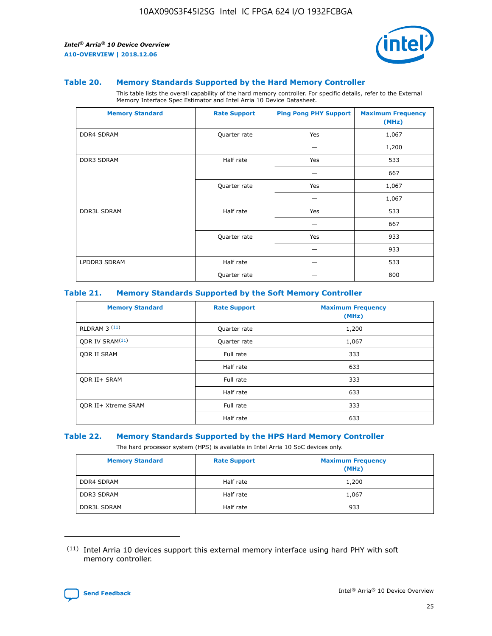

#### **Table 20. Memory Standards Supported by the Hard Memory Controller**

This table lists the overall capability of the hard memory controller. For specific details, refer to the External Memory Interface Spec Estimator and Intel Arria 10 Device Datasheet.

| <b>Memory Standard</b> | <b>Rate Support</b> | <b>Ping Pong PHY Support</b> | <b>Maximum Frequency</b><br>(MHz) |
|------------------------|---------------------|------------------------------|-----------------------------------|
| <b>DDR4 SDRAM</b>      | Quarter rate        | Yes                          | 1,067                             |
|                        |                     |                              | 1,200                             |
| DDR3 SDRAM             | Half rate           | Yes                          | 533                               |
|                        |                     |                              | 667                               |
|                        | Quarter rate        | Yes                          | 1,067                             |
|                        |                     |                              | 1,067                             |
| <b>DDR3L SDRAM</b>     | Half rate           | Yes                          | 533                               |
|                        |                     |                              | 667                               |
|                        | Quarter rate        | Yes                          | 933                               |
|                        |                     |                              | 933                               |
| LPDDR3 SDRAM           | Half rate           |                              | 533                               |
|                        | Quarter rate        |                              | 800                               |

#### **Table 21. Memory Standards Supported by the Soft Memory Controller**

| <b>Memory Standard</b>      | <b>Rate Support</b> | <b>Maximum Frequency</b><br>(MHz) |
|-----------------------------|---------------------|-----------------------------------|
| <b>RLDRAM 3 (11)</b>        | Quarter rate        | 1,200                             |
| ODR IV SRAM <sup>(11)</sup> | Quarter rate        | 1,067                             |
| <b>ODR II SRAM</b>          | Full rate           | 333                               |
|                             | Half rate           | 633                               |
| <b>ODR II+ SRAM</b>         | Full rate           | 333                               |
|                             | Half rate           | 633                               |
| <b>ODR II+ Xtreme SRAM</b>  | Full rate           | 333                               |
|                             | Half rate           | 633                               |

#### **Table 22. Memory Standards Supported by the HPS Hard Memory Controller**

The hard processor system (HPS) is available in Intel Arria 10 SoC devices only.

| <b>Memory Standard</b> | <b>Rate Support</b> | <b>Maximum Frequency</b><br>(MHz) |
|------------------------|---------------------|-----------------------------------|
| <b>DDR4 SDRAM</b>      | Half rate           | 1,200                             |
| <b>DDR3 SDRAM</b>      | Half rate           | 1,067                             |
| <b>DDR3L SDRAM</b>     | Half rate           | 933                               |

<sup>(11)</sup> Intel Arria 10 devices support this external memory interface using hard PHY with soft memory controller.

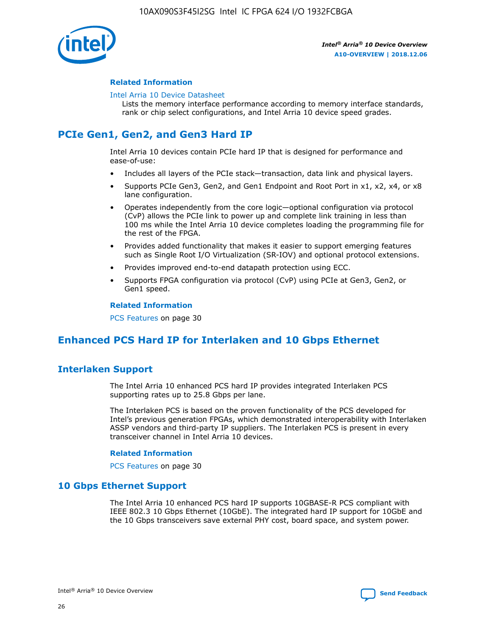

#### **Related Information**

#### [Intel Arria 10 Device Datasheet](https://www.intel.com/content/www/us/en/programmable/documentation/mcn1413182292568.html#mcn1413182153340)

Lists the memory interface performance according to memory interface standards, rank or chip select configurations, and Intel Arria 10 device speed grades.

# **PCIe Gen1, Gen2, and Gen3 Hard IP**

Intel Arria 10 devices contain PCIe hard IP that is designed for performance and ease-of-use:

- Includes all layers of the PCIe stack—transaction, data link and physical layers.
- Supports PCIe Gen3, Gen2, and Gen1 Endpoint and Root Port in x1, x2, x4, or x8 lane configuration.
- Operates independently from the core logic—optional configuration via protocol (CvP) allows the PCIe link to power up and complete link training in less than 100 ms while the Intel Arria 10 device completes loading the programming file for the rest of the FPGA.
- Provides added functionality that makes it easier to support emerging features such as Single Root I/O Virtualization (SR-IOV) and optional protocol extensions.
- Provides improved end-to-end datapath protection using ECC.
- Supports FPGA configuration via protocol (CvP) using PCIe at Gen3, Gen2, or Gen1 speed.

#### **Related Information**

PCS Features on page 30

# **Enhanced PCS Hard IP for Interlaken and 10 Gbps Ethernet**

# **Interlaken Support**

The Intel Arria 10 enhanced PCS hard IP provides integrated Interlaken PCS supporting rates up to 25.8 Gbps per lane.

The Interlaken PCS is based on the proven functionality of the PCS developed for Intel's previous generation FPGAs, which demonstrated interoperability with Interlaken ASSP vendors and third-party IP suppliers. The Interlaken PCS is present in every transceiver channel in Intel Arria 10 devices.

#### **Related Information**

PCS Features on page 30

# **10 Gbps Ethernet Support**

The Intel Arria 10 enhanced PCS hard IP supports 10GBASE-R PCS compliant with IEEE 802.3 10 Gbps Ethernet (10GbE). The integrated hard IP support for 10GbE and the 10 Gbps transceivers save external PHY cost, board space, and system power.

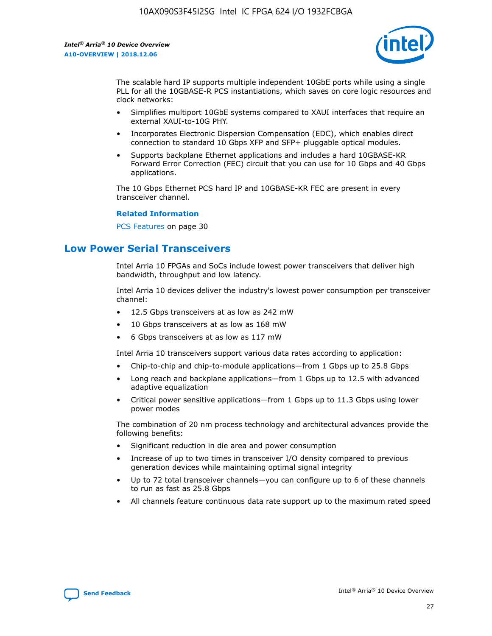

The scalable hard IP supports multiple independent 10GbE ports while using a single PLL for all the 10GBASE-R PCS instantiations, which saves on core logic resources and clock networks:

- Simplifies multiport 10GbE systems compared to XAUI interfaces that require an external XAUI-to-10G PHY.
- Incorporates Electronic Dispersion Compensation (EDC), which enables direct connection to standard 10 Gbps XFP and SFP+ pluggable optical modules.
- Supports backplane Ethernet applications and includes a hard 10GBASE-KR Forward Error Correction (FEC) circuit that you can use for 10 Gbps and 40 Gbps applications.

The 10 Gbps Ethernet PCS hard IP and 10GBASE-KR FEC are present in every transceiver channel.

#### **Related Information**

PCS Features on page 30

# **Low Power Serial Transceivers**

Intel Arria 10 FPGAs and SoCs include lowest power transceivers that deliver high bandwidth, throughput and low latency.

Intel Arria 10 devices deliver the industry's lowest power consumption per transceiver channel:

- 12.5 Gbps transceivers at as low as 242 mW
- 10 Gbps transceivers at as low as 168 mW
- 6 Gbps transceivers at as low as 117 mW

Intel Arria 10 transceivers support various data rates according to application:

- Chip-to-chip and chip-to-module applications—from 1 Gbps up to 25.8 Gbps
- Long reach and backplane applications—from 1 Gbps up to 12.5 with advanced adaptive equalization
- Critical power sensitive applications—from 1 Gbps up to 11.3 Gbps using lower power modes

The combination of 20 nm process technology and architectural advances provide the following benefits:

- Significant reduction in die area and power consumption
- Increase of up to two times in transceiver I/O density compared to previous generation devices while maintaining optimal signal integrity
- Up to 72 total transceiver channels—you can configure up to 6 of these channels to run as fast as 25.8 Gbps
- All channels feature continuous data rate support up to the maximum rated speed

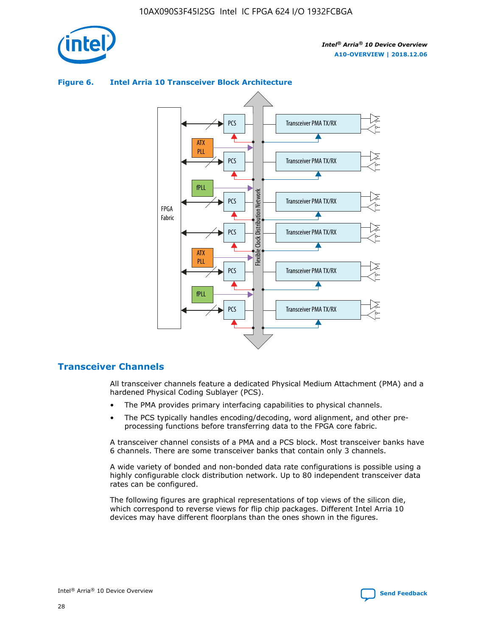

# Transceiver PMA TX/RX PCS ATX PLL Transceiver PMA TX/RX PCS fPLL Network Flexible Clock Distribution Network PCS Transceiver PMA TX/RX FPGA **Clock Distribution** Fabric PCS Transceiver PMA TX/RX ATX Flexible PLL PCS Transceiver PMA TX/RX ▲ fPLL Transceiver PMA TX/RX PCS 4

## **Figure 6. Intel Arria 10 Transceiver Block Architecture**

# **Transceiver Channels**

All transceiver channels feature a dedicated Physical Medium Attachment (PMA) and a hardened Physical Coding Sublayer (PCS).

- The PMA provides primary interfacing capabilities to physical channels.
- The PCS typically handles encoding/decoding, word alignment, and other preprocessing functions before transferring data to the FPGA core fabric.

A transceiver channel consists of a PMA and a PCS block. Most transceiver banks have 6 channels. There are some transceiver banks that contain only 3 channels.

A wide variety of bonded and non-bonded data rate configurations is possible using a highly configurable clock distribution network. Up to 80 independent transceiver data rates can be configured.

The following figures are graphical representations of top views of the silicon die, which correspond to reverse views for flip chip packages. Different Intel Arria 10 devices may have different floorplans than the ones shown in the figures.

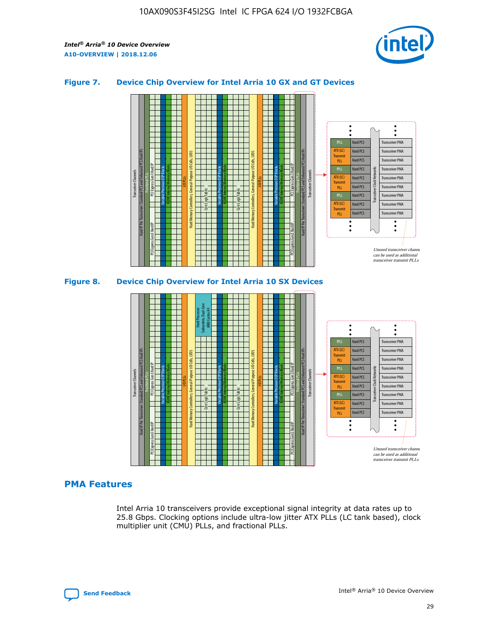

## **Figure 7. Device Chip Overview for Intel Arria 10 GX and GT Devices**



M20K Internal Memory Blocks Core Logic Fabric Transceiver Channels Hard IP Per Transceiver: Standard PCS and Enhanced PCS Hard IPs PCI Express Gen3 Hard IP Fractional PLLs M20K Internal Memory Blocks PCI Express Gen3 Hard IP Variable Precision DSP Blocks I/O PLLs Hard Memory Controllers, General-Purpose I/O Cells, LVDS Hard Processor Subsystem, Dual-Core ARM Cortex A9 M20K Internal Memory Blocks Variable Precision DSP Blocks M20K Internal Memory Blocks Core Logic Fabric I/O PLLs Hard Memory Controllers, General-Purpose I/O Cells, LVDS M20K Internal Memory Blocks Variable Precision DSP Blocks M20K Internal Memory Blocks Transceiver Channels Hard IP Per Transceiver: Standard PCS and Enhanced PCS Hard IPs PCI Express Gen3 Hard IP Fractional PLLs PCI Express Gen3 Hard IP  $\ddot{\cdot}$ Hard PCS Transceiver PMA fPLL ATX (LC) Hard PCS Transceiver PMA **Transmit** Hard PCS Transceiver PMA PLL fPLL Hard PCS Transceiver PMA Transceiver Clock Networks ATX (LC) Hard PCS Transceiver PMA Transmi Hard PCS Transceiver PMA PLL fPLL Hard PCS Transceiver PMA Transceiver PMA Hard PCS ATX (LC) **Transmit** Hard PCS Transceiver PMA PLL Unused transceiver chann can be used as additional transceiver transmit PLLs

# **PMA Features**

Intel Arria 10 transceivers provide exceptional signal integrity at data rates up to 25.8 Gbps. Clocking options include ultra-low jitter ATX PLLs (LC tank based), clock multiplier unit (CMU) PLLs, and fractional PLLs.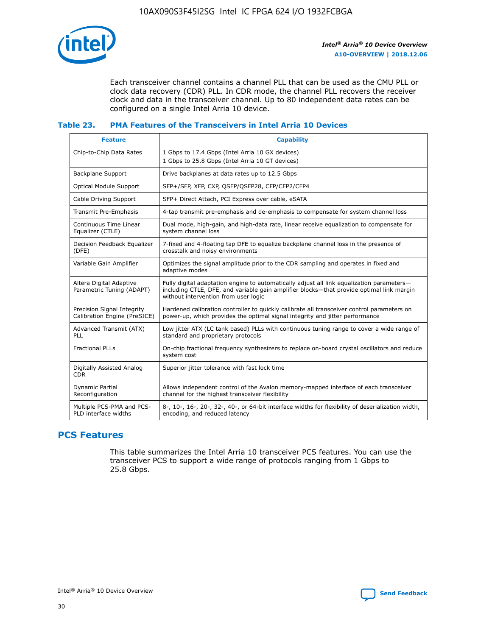

Each transceiver channel contains a channel PLL that can be used as the CMU PLL or clock data recovery (CDR) PLL. In CDR mode, the channel PLL recovers the receiver clock and data in the transceiver channel. Up to 80 independent data rates can be configured on a single Intel Arria 10 device.

# **Table 23. PMA Features of the Transceivers in Intel Arria 10 Devices**

| <b>Feature</b>                                             | <b>Capability</b>                                                                                                                                                                                                             |
|------------------------------------------------------------|-------------------------------------------------------------------------------------------------------------------------------------------------------------------------------------------------------------------------------|
| Chip-to-Chip Data Rates                                    | 1 Gbps to 17.4 Gbps (Intel Arria 10 GX devices)<br>1 Gbps to 25.8 Gbps (Intel Arria 10 GT devices)                                                                                                                            |
| <b>Backplane Support</b>                                   | Drive backplanes at data rates up to 12.5 Gbps                                                                                                                                                                                |
| <b>Optical Module Support</b>                              | SFP+/SFP, XFP, CXP, OSFP/OSFP28, CFP/CFP2/CFP4                                                                                                                                                                                |
| Cable Driving Support                                      | SFP+ Direct Attach, PCI Express over cable, eSATA                                                                                                                                                                             |
| <b>Transmit Pre-Emphasis</b>                               | 4-tap transmit pre-emphasis and de-emphasis to compensate for system channel loss                                                                                                                                             |
| Continuous Time Linear<br>Equalizer (CTLE)                 | Dual mode, high-gain, and high-data rate, linear receive equalization to compensate for<br>system channel loss                                                                                                                |
| Decision Feedback Equalizer<br>(DFE)                       | 7-fixed and 4-floating tap DFE to equalize backplane channel loss in the presence of<br>crosstalk and noisy environments                                                                                                      |
| Variable Gain Amplifier                                    | Optimizes the signal amplitude prior to the CDR sampling and operates in fixed and<br>adaptive modes                                                                                                                          |
| Altera Digital Adaptive<br>Parametric Tuning (ADAPT)       | Fully digital adaptation engine to automatically adjust all link equalization parameters-<br>including CTLE, DFE, and variable gain amplifier blocks—that provide optimal link margin<br>without intervention from user logic |
| Precision Signal Integrity<br>Calibration Engine (PreSICE) | Hardened calibration controller to quickly calibrate all transceiver control parameters on<br>power-up, which provides the optimal signal integrity and jitter performance                                                    |
| Advanced Transmit (ATX)<br>PLL                             | Low jitter ATX (LC tank based) PLLs with continuous tuning range to cover a wide range of<br>standard and proprietary protocols                                                                                               |
| <b>Fractional PLLs</b>                                     | On-chip fractional frequency synthesizers to replace on-board crystal oscillators and reduce<br>system cost                                                                                                                   |
| Digitally Assisted Analog<br><b>CDR</b>                    | Superior jitter tolerance with fast lock time                                                                                                                                                                                 |
| <b>Dynamic Partial</b><br>Reconfiguration                  | Allows independent control of the Avalon memory-mapped interface of each transceiver<br>channel for the highest transceiver flexibility                                                                                       |
| Multiple PCS-PMA and PCS-<br>PLD interface widths          | 8-, 10-, 16-, 20-, 32-, 40-, or 64-bit interface widths for flexibility of deserialization width,<br>encoding, and reduced latency                                                                                            |

# **PCS Features**

This table summarizes the Intel Arria 10 transceiver PCS features. You can use the transceiver PCS to support a wide range of protocols ranging from 1 Gbps to 25.8 Gbps.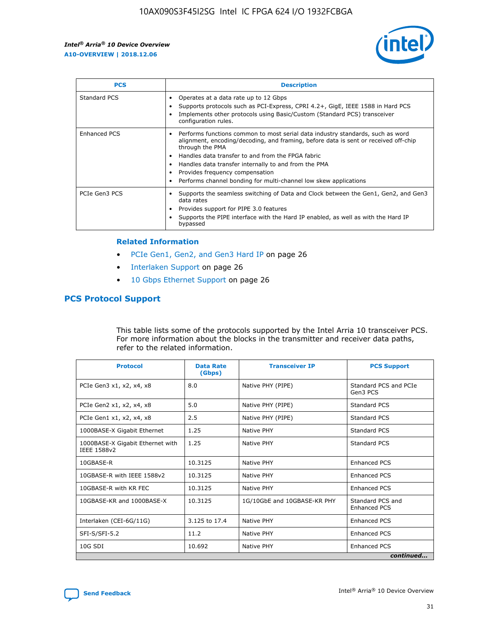

| <b>PCS</b>    | <b>Description</b>                                                                                                                                                                                                                                                                                                                                                                                             |
|---------------|----------------------------------------------------------------------------------------------------------------------------------------------------------------------------------------------------------------------------------------------------------------------------------------------------------------------------------------------------------------------------------------------------------------|
| Standard PCS  | Operates at a data rate up to 12 Gbps<br>Supports protocols such as PCI-Express, CPRI 4.2+, GigE, IEEE 1588 in Hard PCS<br>Implements other protocols using Basic/Custom (Standard PCS) transceiver<br>configuration rules.                                                                                                                                                                                    |
| Enhanced PCS  | Performs functions common to most serial data industry standards, such as word<br>alignment, encoding/decoding, and framing, before data is sent or received off-chip<br>through the PMA<br>• Handles data transfer to and from the FPGA fabric<br>Handles data transfer internally to and from the PMA<br>Provides frequency compensation<br>Performs channel bonding for multi-channel low skew applications |
| PCIe Gen3 PCS | Supports the seamless switching of Data and Clock between the Gen1, Gen2, and Gen3<br>data rates<br>Provides support for PIPE 3.0 features<br>Supports the PIPE interface with the Hard IP enabled, as well as with the Hard IP<br>bypassed                                                                                                                                                                    |

#### **Related Information**

- PCIe Gen1, Gen2, and Gen3 Hard IP on page 26
- Interlaken Support on page 26
- 10 Gbps Ethernet Support on page 26

# **PCS Protocol Support**

This table lists some of the protocols supported by the Intel Arria 10 transceiver PCS. For more information about the blocks in the transmitter and receiver data paths, refer to the related information.

| <b>Protocol</b>                                 | <b>Data Rate</b><br>(Gbps) | <b>Transceiver IP</b>       | <b>PCS Support</b>                      |
|-------------------------------------------------|----------------------------|-----------------------------|-----------------------------------------|
| PCIe Gen3 x1, x2, x4, x8                        | 8.0                        | Native PHY (PIPE)           | Standard PCS and PCIe<br>Gen3 PCS       |
| PCIe Gen2 x1, x2, x4, x8                        | 5.0                        | Native PHY (PIPE)           | <b>Standard PCS</b>                     |
| PCIe Gen1 x1, x2, x4, x8                        | 2.5                        | Native PHY (PIPE)           | Standard PCS                            |
| 1000BASE-X Gigabit Ethernet                     | 1.25                       | Native PHY                  | <b>Standard PCS</b>                     |
| 1000BASE-X Gigabit Ethernet with<br>IEEE 1588v2 | 1.25                       | Native PHY                  | Standard PCS                            |
| 10GBASE-R                                       | 10.3125                    | Native PHY                  | <b>Enhanced PCS</b>                     |
| 10GBASE-R with IEEE 1588v2                      | 10.3125                    | Native PHY                  | <b>Enhanced PCS</b>                     |
| 10GBASE-R with KR FEC                           | 10.3125                    | Native PHY                  | <b>Enhanced PCS</b>                     |
| 10GBASE-KR and 1000BASE-X                       | 10.3125                    | 1G/10GbE and 10GBASE-KR PHY | Standard PCS and<br><b>Enhanced PCS</b> |
| Interlaken (CEI-6G/11G)                         | 3.125 to 17.4              | Native PHY                  | <b>Enhanced PCS</b>                     |
| SFI-S/SFI-5.2                                   | 11.2                       | Native PHY                  | <b>Enhanced PCS</b>                     |
| $10G$ SDI                                       | 10.692                     | Native PHY                  | <b>Enhanced PCS</b>                     |
|                                                 |                            |                             | continued                               |



**[Send Feedback](mailto:FPGAtechdocfeedback@intel.com?subject=Feedback%20on%20Intel%20Arria%2010%20Device%20Overview%20(A10-OVERVIEW%202018.12.06)&body=We%20appreciate%20your%20feedback.%20In%20your%20comments,%20also%20specify%20the%20page%20number%20or%20paragraph.%20Thank%20you.) Intel®** Arria<sup>®</sup> 10 Device Overview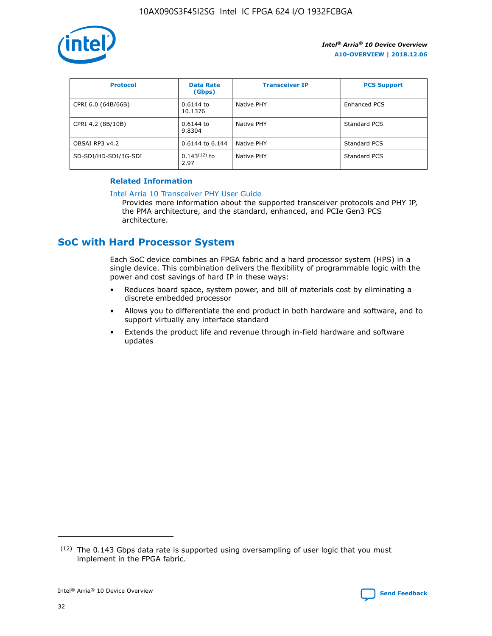

| <b>Protocol</b>      | <b>Data Rate</b><br>(Gbps) | <b>Transceiver IP</b> | <b>PCS Support</b> |
|----------------------|----------------------------|-----------------------|--------------------|
| CPRI 6.0 (64B/66B)   | 0.6144 to<br>10.1376       | Native PHY            | Enhanced PCS       |
| CPRI 4.2 (8B/10B)    | 0.6144 to<br>9.8304        | Native PHY            | Standard PCS       |
| OBSAI RP3 v4.2       | 0.6144 to 6.144            | Native PHY            | Standard PCS       |
| SD-SDI/HD-SDI/3G-SDI | $0.143(12)$ to<br>2.97     | Native PHY            | Standard PCS       |

# **Related Information**

#### [Intel Arria 10 Transceiver PHY User Guide](https://www.intel.com/content/www/us/en/programmable/documentation/nik1398707230472.html#nik1398707091164)

Provides more information about the supported transceiver protocols and PHY IP, the PMA architecture, and the standard, enhanced, and PCIe Gen3 PCS architecture.

# **SoC with Hard Processor System**

Each SoC device combines an FPGA fabric and a hard processor system (HPS) in a single device. This combination delivers the flexibility of programmable logic with the power and cost savings of hard IP in these ways:

- Reduces board space, system power, and bill of materials cost by eliminating a discrete embedded processor
- Allows you to differentiate the end product in both hardware and software, and to support virtually any interface standard
- Extends the product life and revenue through in-field hardware and software updates

 $(12)$  The 0.143 Gbps data rate is supported using oversampling of user logic that you must implement in the FPGA fabric.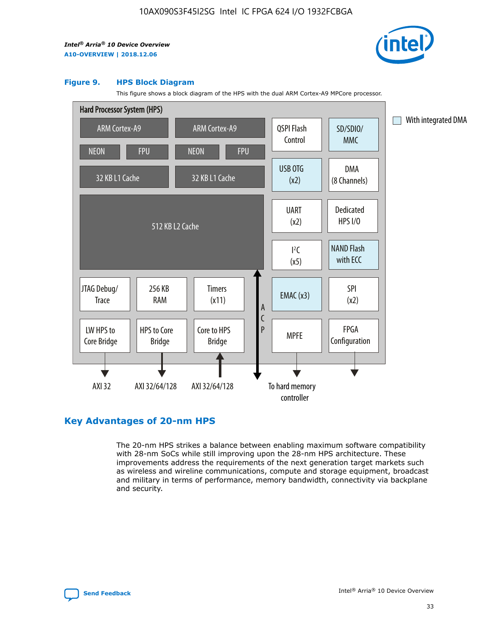

#### **Figure 9. HPS Block Diagram**

This figure shows a block diagram of the HPS with the dual ARM Cortex-A9 MPCore processor.



# **Key Advantages of 20-nm HPS**

The 20-nm HPS strikes a balance between enabling maximum software compatibility with 28-nm SoCs while still improving upon the 28-nm HPS architecture. These improvements address the requirements of the next generation target markets such as wireless and wireline communications, compute and storage equipment, broadcast and military in terms of performance, memory bandwidth, connectivity via backplane and security.

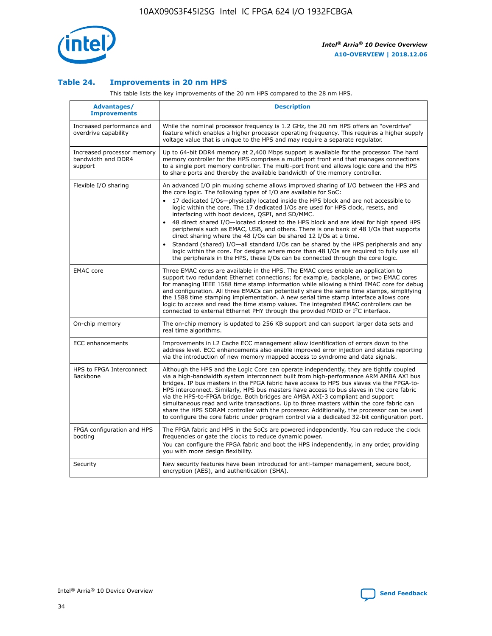

## **Table 24. Improvements in 20 nm HPS**

This table lists the key improvements of the 20 nm HPS compared to the 28 nm HPS.

| Advantages/<br><b>Improvements</b>                          | <b>Description</b>                                                                                                                                                                                                                                                                                                                                                                                                                                                                                                                                                                                                                                                                                                                                                                                                                                                                                                      |
|-------------------------------------------------------------|-------------------------------------------------------------------------------------------------------------------------------------------------------------------------------------------------------------------------------------------------------------------------------------------------------------------------------------------------------------------------------------------------------------------------------------------------------------------------------------------------------------------------------------------------------------------------------------------------------------------------------------------------------------------------------------------------------------------------------------------------------------------------------------------------------------------------------------------------------------------------------------------------------------------------|
| Increased performance and<br>overdrive capability           | While the nominal processor frequency is 1.2 GHz, the 20 nm HPS offers an "overdrive"<br>feature which enables a higher processor operating frequency. This requires a higher supply<br>voltage value that is unique to the HPS and may require a separate regulator.                                                                                                                                                                                                                                                                                                                                                                                                                                                                                                                                                                                                                                                   |
| Increased processor memory<br>bandwidth and DDR4<br>support | Up to 64-bit DDR4 memory at 2,400 Mbps support is available for the processor. The hard<br>memory controller for the HPS comprises a multi-port front end that manages connections<br>to a single port memory controller. The multi-port front end allows logic core and the HPS<br>to share ports and thereby the available bandwidth of the memory controller.                                                                                                                                                                                                                                                                                                                                                                                                                                                                                                                                                        |
| Flexible I/O sharing                                        | An advanced I/O pin muxing scheme allows improved sharing of I/O between the HPS and<br>the core logic. The following types of I/O are available for SoC:<br>17 dedicated I/Os-physically located inside the HPS block and are not accessible to<br>logic within the core. The 17 dedicated I/Os are used for HPS clock, resets, and<br>interfacing with boot devices, QSPI, and SD/MMC.<br>48 direct shared I/O-located closest to the HPS block and are ideal for high speed HPS<br>peripherals such as EMAC, USB, and others. There is one bank of 48 I/Os that supports<br>direct sharing where the 48 I/Os can be shared 12 I/Os at a time.<br>Standard (shared) I/O-all standard I/Os can be shared by the HPS peripherals and any<br>logic within the core. For designs where more than 48 I/Os are reguired to fully use all<br>the peripherals in the HPS, these I/Os can be connected through the core logic. |
| <b>EMAC</b> core                                            | Three EMAC cores are available in the HPS. The EMAC cores enable an application to<br>support two redundant Ethernet connections; for example, backplane, or two EMAC cores<br>for managing IEEE 1588 time stamp information while allowing a third EMAC core for debug<br>and configuration. All three EMACs can potentially share the same time stamps, simplifying<br>the 1588 time stamping implementation. A new serial time stamp interface allows core<br>logic to access and read the time stamp values. The integrated EMAC controllers can be<br>connected to external Ethernet PHY through the provided MDIO or I <sup>2</sup> C interface.                                                                                                                                                                                                                                                                  |
| On-chip memory                                              | The on-chip memory is updated to 256 KB support and can support larger data sets and<br>real time algorithms.                                                                                                                                                                                                                                                                                                                                                                                                                                                                                                                                                                                                                                                                                                                                                                                                           |
| <b>ECC</b> enhancements                                     | Improvements in L2 Cache ECC management allow identification of errors down to the<br>address level. ECC enhancements also enable improved error injection and status reporting<br>via the introduction of new memory mapped access to syndrome and data signals.                                                                                                                                                                                                                                                                                                                                                                                                                                                                                                                                                                                                                                                       |
| HPS to FPGA Interconnect<br>Backbone                        | Although the HPS and the Logic Core can operate independently, they are tightly coupled<br>via a high-bandwidth system interconnect built from high-performance ARM AMBA AXI bus<br>bridges. IP bus masters in the FPGA fabric have access to HPS bus slaves via the FPGA-to-<br>HPS interconnect. Similarly, HPS bus masters have access to bus slaves in the core fabric<br>via the HPS-to-FPGA bridge. Both bridges are AMBA AXI-3 compliant and support<br>simultaneous read and write transactions. Up to three masters within the core fabric can<br>share the HPS SDRAM controller with the processor. Additionally, the processor can be used<br>to configure the core fabric under program control via a dedicated 32-bit configuration port.                                                                                                                                                                  |
| FPGA configuration and HPS<br>booting                       | The FPGA fabric and HPS in the SoCs are powered independently. You can reduce the clock<br>frequencies or gate the clocks to reduce dynamic power.<br>You can configure the FPGA fabric and boot the HPS independently, in any order, providing<br>you with more design flexibility.                                                                                                                                                                                                                                                                                                                                                                                                                                                                                                                                                                                                                                    |
| Security                                                    | New security features have been introduced for anti-tamper management, secure boot,<br>encryption (AES), and authentication (SHA).                                                                                                                                                                                                                                                                                                                                                                                                                                                                                                                                                                                                                                                                                                                                                                                      |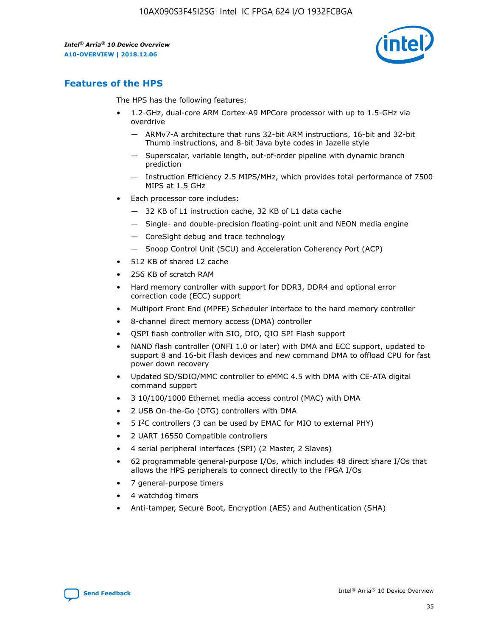

# **Features of the HPS**

The HPS has the following features:

- 1.2-GHz, dual-core ARM Cortex-A9 MPCore processor with up to 1.5-GHz via overdrive
	- ARMv7-A architecture that runs 32-bit ARM instructions, 16-bit and 32-bit Thumb instructions, and 8-bit Java byte codes in Jazelle style
	- Superscalar, variable length, out-of-order pipeline with dynamic branch prediction
	- Instruction Efficiency 2.5 MIPS/MHz, which provides total performance of 7500 MIPS at 1.5 GHz
- Each processor core includes:
	- 32 KB of L1 instruction cache, 32 KB of L1 data cache
	- Single- and double-precision floating-point unit and NEON media engine
	- CoreSight debug and trace technology
	- Snoop Control Unit (SCU) and Acceleration Coherency Port (ACP)
- 512 KB of shared L2 cache
- 256 KB of scratch RAM
- Hard memory controller with support for DDR3, DDR4 and optional error correction code (ECC) support
- Multiport Front End (MPFE) Scheduler interface to the hard memory controller
- 8-channel direct memory access (DMA) controller
- QSPI flash controller with SIO, DIO, QIO SPI Flash support
- NAND flash controller (ONFI 1.0 or later) with DMA and ECC support, updated to support 8 and 16-bit Flash devices and new command DMA to offload CPU for fast power down recovery
- Updated SD/SDIO/MMC controller to eMMC 4.5 with DMA with CE-ATA digital command support
- 3 10/100/1000 Ethernet media access control (MAC) with DMA
- 2 USB On-the-Go (OTG) controllers with DMA
- $\bullet$  5 I<sup>2</sup>C controllers (3 can be used by EMAC for MIO to external PHY)
- 2 UART 16550 Compatible controllers
- 4 serial peripheral interfaces (SPI) (2 Master, 2 Slaves)
- 62 programmable general-purpose I/Os, which includes 48 direct share I/Os that allows the HPS peripherals to connect directly to the FPGA I/Os
- 7 general-purpose timers
- 4 watchdog timers
- Anti-tamper, Secure Boot, Encryption (AES) and Authentication (SHA)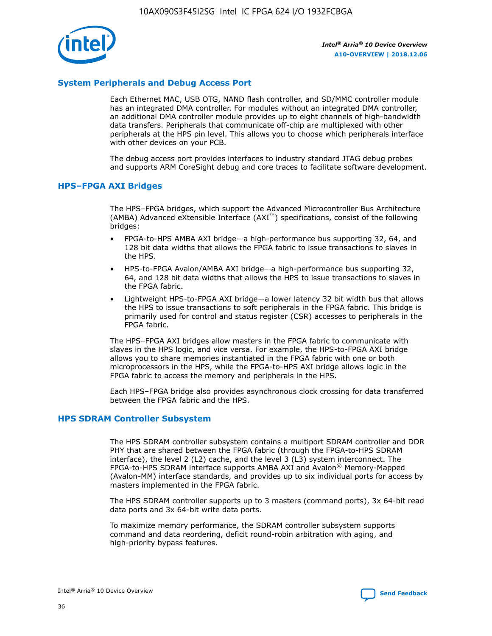

# **System Peripherals and Debug Access Port**

Each Ethernet MAC, USB OTG, NAND flash controller, and SD/MMC controller module has an integrated DMA controller. For modules without an integrated DMA controller, an additional DMA controller module provides up to eight channels of high-bandwidth data transfers. Peripherals that communicate off-chip are multiplexed with other peripherals at the HPS pin level. This allows you to choose which peripherals interface with other devices on your PCB.

The debug access port provides interfaces to industry standard JTAG debug probes and supports ARM CoreSight debug and core traces to facilitate software development.

## **HPS–FPGA AXI Bridges**

The HPS–FPGA bridges, which support the Advanced Microcontroller Bus Architecture (AMBA) Advanced eXtensible Interface (AXI™) specifications, consist of the following bridges:

- FPGA-to-HPS AMBA AXI bridge—a high-performance bus supporting 32, 64, and 128 bit data widths that allows the FPGA fabric to issue transactions to slaves in the HPS.
- HPS-to-FPGA Avalon/AMBA AXI bridge—a high-performance bus supporting 32, 64, and 128 bit data widths that allows the HPS to issue transactions to slaves in the FPGA fabric.
- Lightweight HPS-to-FPGA AXI bridge—a lower latency 32 bit width bus that allows the HPS to issue transactions to soft peripherals in the FPGA fabric. This bridge is primarily used for control and status register (CSR) accesses to peripherals in the FPGA fabric.

The HPS–FPGA AXI bridges allow masters in the FPGA fabric to communicate with slaves in the HPS logic, and vice versa. For example, the HPS-to-FPGA AXI bridge allows you to share memories instantiated in the FPGA fabric with one or both microprocessors in the HPS, while the FPGA-to-HPS AXI bridge allows logic in the FPGA fabric to access the memory and peripherals in the HPS.

Each HPS–FPGA bridge also provides asynchronous clock crossing for data transferred between the FPGA fabric and the HPS.

#### **HPS SDRAM Controller Subsystem**

The HPS SDRAM controller subsystem contains a multiport SDRAM controller and DDR PHY that are shared between the FPGA fabric (through the FPGA-to-HPS SDRAM interface), the level 2 (L2) cache, and the level 3 (L3) system interconnect. The FPGA-to-HPS SDRAM interface supports AMBA AXI and Avalon® Memory-Mapped (Avalon-MM) interface standards, and provides up to six individual ports for access by masters implemented in the FPGA fabric.

The HPS SDRAM controller supports up to 3 masters (command ports), 3x 64-bit read data ports and 3x 64-bit write data ports.

To maximize memory performance, the SDRAM controller subsystem supports command and data reordering, deficit round-robin arbitration with aging, and high-priority bypass features.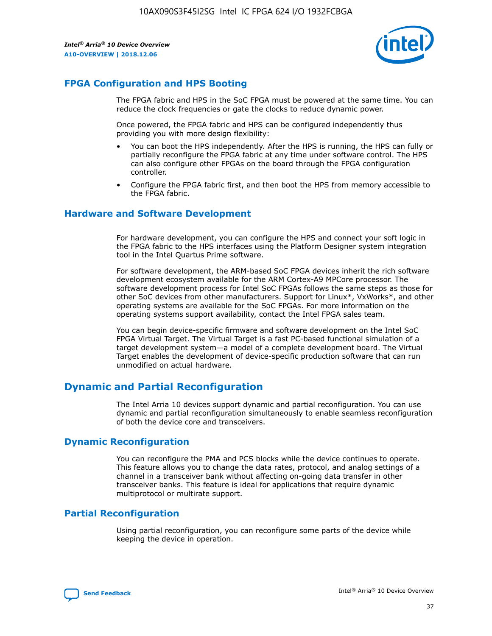

# **FPGA Configuration and HPS Booting**

The FPGA fabric and HPS in the SoC FPGA must be powered at the same time. You can reduce the clock frequencies or gate the clocks to reduce dynamic power.

Once powered, the FPGA fabric and HPS can be configured independently thus providing you with more design flexibility:

- You can boot the HPS independently. After the HPS is running, the HPS can fully or partially reconfigure the FPGA fabric at any time under software control. The HPS can also configure other FPGAs on the board through the FPGA configuration controller.
- Configure the FPGA fabric first, and then boot the HPS from memory accessible to the FPGA fabric.

## **Hardware and Software Development**

For hardware development, you can configure the HPS and connect your soft logic in the FPGA fabric to the HPS interfaces using the Platform Designer system integration tool in the Intel Quartus Prime software.

For software development, the ARM-based SoC FPGA devices inherit the rich software development ecosystem available for the ARM Cortex-A9 MPCore processor. The software development process for Intel SoC FPGAs follows the same steps as those for other SoC devices from other manufacturers. Support for Linux\*, VxWorks\*, and other operating systems are available for the SoC FPGAs. For more information on the operating systems support availability, contact the Intel FPGA sales team.

You can begin device-specific firmware and software development on the Intel SoC FPGA Virtual Target. The Virtual Target is a fast PC-based functional simulation of a target development system—a model of a complete development board. The Virtual Target enables the development of device-specific production software that can run unmodified on actual hardware.

# **Dynamic and Partial Reconfiguration**

The Intel Arria 10 devices support dynamic and partial reconfiguration. You can use dynamic and partial reconfiguration simultaneously to enable seamless reconfiguration of both the device core and transceivers.

# **Dynamic Reconfiguration**

You can reconfigure the PMA and PCS blocks while the device continues to operate. This feature allows you to change the data rates, protocol, and analog settings of a channel in a transceiver bank without affecting on-going data transfer in other transceiver banks. This feature is ideal for applications that require dynamic multiprotocol or multirate support.

# **Partial Reconfiguration**

Using partial reconfiguration, you can reconfigure some parts of the device while keeping the device in operation.

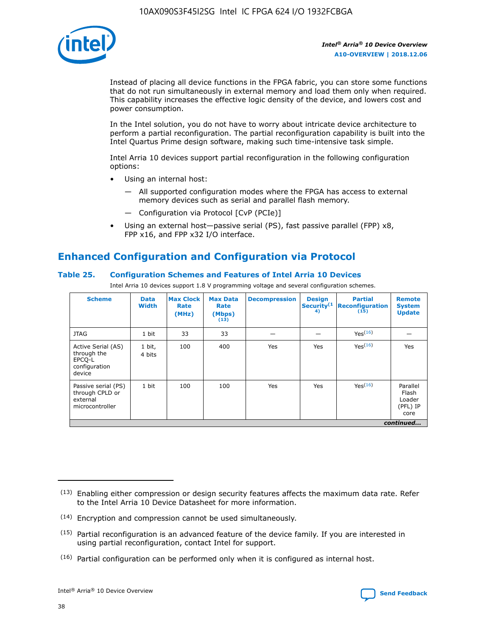

Instead of placing all device functions in the FPGA fabric, you can store some functions that do not run simultaneously in external memory and load them only when required. This capability increases the effective logic density of the device, and lowers cost and power consumption.

In the Intel solution, you do not have to worry about intricate device architecture to perform a partial reconfiguration. The partial reconfiguration capability is built into the Intel Quartus Prime design software, making such time-intensive task simple.

Intel Arria 10 devices support partial reconfiguration in the following configuration options:

- Using an internal host:
	- All supported configuration modes where the FPGA has access to external memory devices such as serial and parallel flash memory.
	- Configuration via Protocol [CvP (PCIe)]
- Using an external host—passive serial (PS), fast passive parallel (FPP) x8, FPP x16, and FPP x32 I/O interface.

# **Enhanced Configuration and Configuration via Protocol**

# **Table 25. Configuration Schemes and Features of Intel Arria 10 Devices**

Intel Arria 10 devices support 1.8 V programming voltage and several configuration schemes.

| <b>Scheme</b>                                                          | <b>Data</b><br><b>Width</b> | <b>Max Clock</b><br>Rate<br>(MHz) | <b>Max Data</b><br>Rate<br>(Mbps)<br>(13) | <b>Decompression</b> | <b>Design</b><br>Security <sup>(1</sup><br>4) | <b>Partial</b><br><b>Reconfiguration</b><br>(15) | <b>Remote</b><br><b>System</b><br><b>Update</b> |
|------------------------------------------------------------------------|-----------------------------|-----------------------------------|-------------------------------------------|----------------------|-----------------------------------------------|--------------------------------------------------|-------------------------------------------------|
| <b>JTAG</b>                                                            | 1 bit                       | 33                                | 33                                        |                      |                                               | Yes(16)                                          |                                                 |
| Active Serial (AS)<br>through the<br>EPCO-L<br>configuration<br>device | 1 bit,<br>4 bits            | 100                               | 400                                       | Yes                  | Yes                                           | $Y_{PS}(16)$                                     | Yes                                             |
| Passive serial (PS)<br>through CPLD or<br>external<br>microcontroller  | 1 bit                       | 100                               | 100                                       | Yes                  | Yes                                           | Yes(16)                                          | Parallel<br>Flash<br>Loader<br>(PFL) IP<br>core |
|                                                                        |                             |                                   |                                           |                      |                                               |                                                  | continued                                       |

<sup>(13)</sup> Enabling either compression or design security features affects the maximum data rate. Refer to the Intel Arria 10 Device Datasheet for more information.

<sup>(14)</sup> Encryption and compression cannot be used simultaneously.

 $<sup>(15)</sup>$  Partial reconfiguration is an advanced feature of the device family. If you are interested in</sup> using partial reconfiguration, contact Intel for support.

 $(16)$  Partial configuration can be performed only when it is configured as internal host.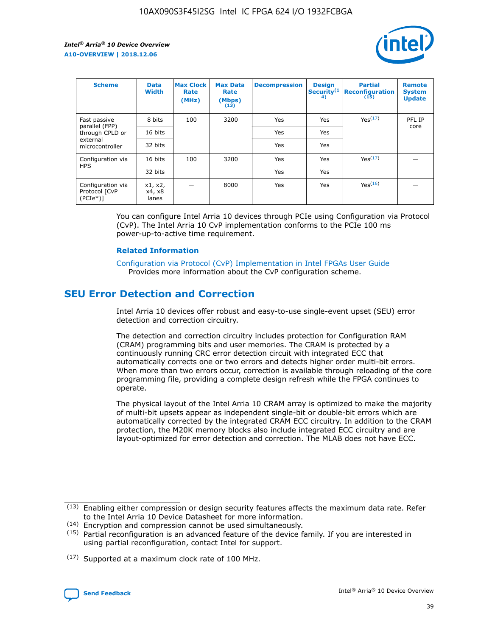

| <b>Scheme</b>                                    | <b>Data</b><br><b>Width</b> | <b>Max Clock</b><br>Rate<br>(MHz) | <b>Max Data</b><br>Rate<br>(Mbps)<br>(13) | <b>Decompression</b> | <b>Design</b><br>Security <sup>(1</sup><br>4) | <b>Partial</b><br><b>Reconfiguration</b><br>(15) | <b>Remote</b><br><b>System</b><br><b>Update</b> |
|--------------------------------------------------|-----------------------------|-----------------------------------|-------------------------------------------|----------------------|-----------------------------------------------|--------------------------------------------------|-------------------------------------------------|
| Fast passive                                     | 8 bits                      | 100                               | 3200                                      | Yes                  | Yes                                           | Yes(17)                                          | PFL IP                                          |
| parallel (FPP)<br>through CPLD or                | 16 bits                     |                                   |                                           | Yes                  | Yes                                           |                                                  | core                                            |
| external<br>microcontroller                      | 32 bits                     |                                   |                                           | Yes                  | Yes                                           |                                                  |                                                 |
| Configuration via                                | 16 bits                     | 100                               | 3200                                      | Yes                  | Yes                                           | Yes <sup>(17)</sup>                              |                                                 |
| <b>HPS</b>                                       | 32 bits                     |                                   |                                           | Yes                  | Yes                                           |                                                  |                                                 |
| Configuration via<br>Protocol [CvP<br>$(PCIe^*)$ | x1, x2,<br>x4, x8<br>lanes  |                                   | 8000                                      | Yes                  | Yes                                           | Yes <sup>(16)</sup>                              |                                                 |

You can configure Intel Arria 10 devices through PCIe using Configuration via Protocol (CvP). The Intel Arria 10 CvP implementation conforms to the PCIe 100 ms power-up-to-active time requirement.

#### **Related Information**

[Configuration via Protocol \(CvP\) Implementation in Intel FPGAs User Guide](https://www.intel.com/content/www/us/en/programmable/documentation/dsu1441819344145.html#dsu1442269728522) Provides more information about the CvP configuration scheme.

# **SEU Error Detection and Correction**

Intel Arria 10 devices offer robust and easy-to-use single-event upset (SEU) error detection and correction circuitry.

The detection and correction circuitry includes protection for Configuration RAM (CRAM) programming bits and user memories. The CRAM is protected by a continuously running CRC error detection circuit with integrated ECC that automatically corrects one or two errors and detects higher order multi-bit errors. When more than two errors occur, correction is available through reloading of the core programming file, providing a complete design refresh while the FPGA continues to operate.

The physical layout of the Intel Arria 10 CRAM array is optimized to make the majority of multi-bit upsets appear as independent single-bit or double-bit errors which are automatically corrected by the integrated CRAM ECC circuitry. In addition to the CRAM protection, the M20K memory blocks also include integrated ECC circuitry and are layout-optimized for error detection and correction. The MLAB does not have ECC.

(14) Encryption and compression cannot be used simultaneously.

<sup>(17)</sup> Supported at a maximum clock rate of 100 MHz.



 $(13)$  Enabling either compression or design security features affects the maximum data rate. Refer to the Intel Arria 10 Device Datasheet for more information.

 $(15)$  Partial reconfiguration is an advanced feature of the device family. If you are interested in using partial reconfiguration, contact Intel for support.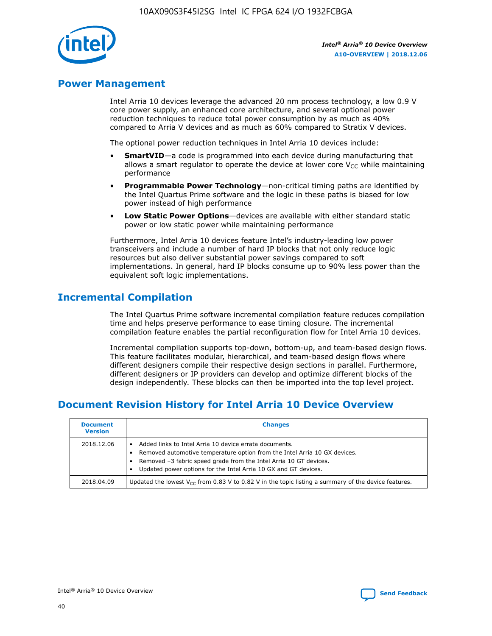

# **Power Management**

Intel Arria 10 devices leverage the advanced 20 nm process technology, a low 0.9 V core power supply, an enhanced core architecture, and several optional power reduction techniques to reduce total power consumption by as much as 40% compared to Arria V devices and as much as 60% compared to Stratix V devices.

The optional power reduction techniques in Intel Arria 10 devices include:

- **SmartVID**—a code is programmed into each device during manufacturing that allows a smart regulator to operate the device at lower core  $V_{CC}$  while maintaining performance
- **Programmable Power Technology**—non-critical timing paths are identified by the Intel Quartus Prime software and the logic in these paths is biased for low power instead of high performance
- **Low Static Power Options**—devices are available with either standard static power or low static power while maintaining performance

Furthermore, Intel Arria 10 devices feature Intel's industry-leading low power transceivers and include a number of hard IP blocks that not only reduce logic resources but also deliver substantial power savings compared to soft implementations. In general, hard IP blocks consume up to 90% less power than the equivalent soft logic implementations.

# **Incremental Compilation**

The Intel Quartus Prime software incremental compilation feature reduces compilation time and helps preserve performance to ease timing closure. The incremental compilation feature enables the partial reconfiguration flow for Intel Arria 10 devices.

Incremental compilation supports top-down, bottom-up, and team-based design flows. This feature facilitates modular, hierarchical, and team-based design flows where different designers compile their respective design sections in parallel. Furthermore, different designers or IP providers can develop and optimize different blocks of the design independently. These blocks can then be imported into the top level project.

# **Document Revision History for Intel Arria 10 Device Overview**

| <b>Document</b><br><b>Version</b> | <b>Changes</b>                                                                                                                                                                                                                                                              |
|-----------------------------------|-----------------------------------------------------------------------------------------------------------------------------------------------------------------------------------------------------------------------------------------------------------------------------|
| 2018.12.06                        | Added links to Intel Arria 10 device errata documents.<br>Removed automotive temperature option from the Intel Arria 10 GX devices.<br>Removed -3 fabric speed grade from the Intel Arria 10 GT devices.<br>Updated power options for the Intel Arria 10 GX and GT devices. |
| 2018.04.09                        | Updated the lowest $V_{CC}$ from 0.83 V to 0.82 V in the topic listing a summary of the device features.                                                                                                                                                                    |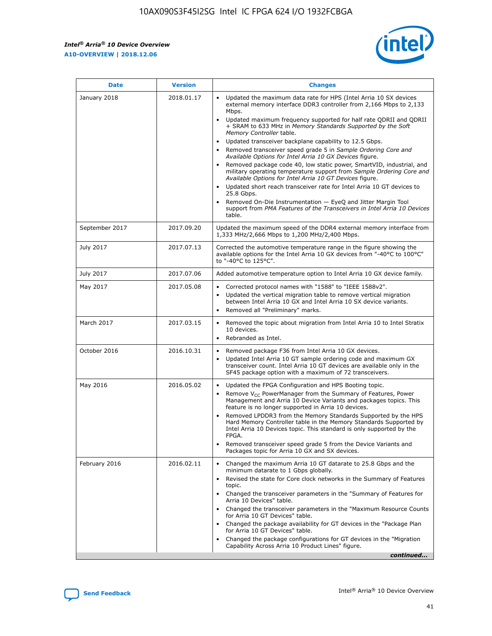*Intel® Arria® 10 Device Overview* **A10-OVERVIEW | 2018.12.06**



| <b>Date</b>    | <b>Version</b> | <b>Changes</b>                                                                                                                                                                                                                                                                                                                                                                                                                                                                                                                                                                                                                                                                                                                                                                                                                                                                                                                                                            |
|----------------|----------------|---------------------------------------------------------------------------------------------------------------------------------------------------------------------------------------------------------------------------------------------------------------------------------------------------------------------------------------------------------------------------------------------------------------------------------------------------------------------------------------------------------------------------------------------------------------------------------------------------------------------------------------------------------------------------------------------------------------------------------------------------------------------------------------------------------------------------------------------------------------------------------------------------------------------------------------------------------------------------|
| January 2018   | 2018.01.17     | Updated the maximum data rate for HPS (Intel Arria 10 SX devices<br>external memory interface DDR3 controller from 2,166 Mbps to 2,133<br>Mbps.<br>Updated maximum frequency supported for half rate QDRII and QDRII<br>+ SRAM to 633 MHz in Memory Standards Supported by the Soft<br>Memory Controller table.<br>Updated transceiver backplane capability to 12.5 Gbps.<br>$\bullet$<br>Removed transceiver speed grade 5 in Sample Ordering Core and<br>Available Options for Intel Arria 10 GX Devices figure.<br>Removed package code 40, low static power, SmartVID, industrial, and<br>military operating temperature support from Sample Ordering Core and<br>Available Options for Intel Arria 10 GT Devices figure.<br>Updated short reach transceiver rate for Intel Arria 10 GT devices to<br>25.8 Gbps.<br>Removed On-Die Instrumentation - EyeQ and Jitter Margin Tool<br>support from PMA Features of the Transceivers in Intel Arria 10 Devices<br>table. |
| September 2017 | 2017.09.20     | Updated the maximum speed of the DDR4 external memory interface from<br>1,333 MHz/2,666 Mbps to 1,200 MHz/2,400 Mbps.                                                                                                                                                                                                                                                                                                                                                                                                                                                                                                                                                                                                                                                                                                                                                                                                                                                     |
| July 2017      | 2017.07.13     | Corrected the automotive temperature range in the figure showing the<br>available options for the Intel Arria 10 GX devices from "-40°C to 100°C"<br>to "-40°C to 125°C".                                                                                                                                                                                                                                                                                                                                                                                                                                                                                                                                                                                                                                                                                                                                                                                                 |
| July 2017      | 2017.07.06     | Added automotive temperature option to Intel Arria 10 GX device family.                                                                                                                                                                                                                                                                                                                                                                                                                                                                                                                                                                                                                                                                                                                                                                                                                                                                                                   |
| May 2017       | 2017.05.08     | Corrected protocol names with "1588" to "IEEE 1588v2".<br>$\bullet$<br>Updated the vertical migration table to remove vertical migration<br>$\bullet$<br>between Intel Arria 10 GX and Intel Arria 10 SX device variants.<br>Removed all "Preliminary" marks.<br>$\bullet$                                                                                                                                                                                                                                                                                                                                                                                                                                                                                                                                                                                                                                                                                                |
| March 2017     | 2017.03.15     | Removed the topic about migration from Intel Arria 10 to Intel Stratix<br>10 devices.<br>Rebranded as Intel.<br>$\bullet$                                                                                                                                                                                                                                                                                                                                                                                                                                                                                                                                                                                                                                                                                                                                                                                                                                                 |
| October 2016   | 2016.10.31     | Removed package F36 from Intel Arria 10 GX devices.<br>Updated Intel Arria 10 GT sample ordering code and maximum GX<br>$\bullet$<br>transceiver count. Intel Arria 10 GT devices are available only in the<br>SF45 package option with a maximum of 72 transceivers.                                                                                                                                                                                                                                                                                                                                                                                                                                                                                                                                                                                                                                                                                                     |
| May 2016       | 2016.05.02     | Updated the FPGA Configuration and HPS Booting topic.<br>$\bullet$<br>Remove V <sub>CC</sub> PowerManager from the Summary of Features, Power<br>Management and Arria 10 Device Variants and packages topics. This<br>feature is no longer supported in Arria 10 devices.<br>Removed LPDDR3 from the Memory Standards Supported by the HPS<br>Hard Memory Controller table in the Memory Standards Supported by<br>Intel Arria 10 Devices topic. This standard is only supported by the<br>FPGA.<br>Removed transceiver speed grade 5 from the Device Variants and<br>Packages topic for Arria 10 GX and SX devices.                                                                                                                                                                                                                                                                                                                                                      |
| February 2016  | 2016.02.11     | Changed the maximum Arria 10 GT datarate to 25.8 Gbps and the<br>minimum datarate to 1 Gbps globally.<br>Revised the state for Core clock networks in the Summary of Features<br>$\bullet$<br>topic.<br>Changed the transceiver parameters in the "Summary of Features for<br>$\bullet$<br>Arria 10 Devices" table.<br>• Changed the transceiver parameters in the "Maximum Resource Counts<br>for Arria 10 GT Devices" table.<br>Changed the package availability for GT devices in the "Package Plan<br>for Arria 10 GT Devices" table.<br>Changed the package configurations for GT devices in the "Migration"<br>Capability Across Arria 10 Product Lines" figure.<br>continued                                                                                                                                                                                                                                                                                       |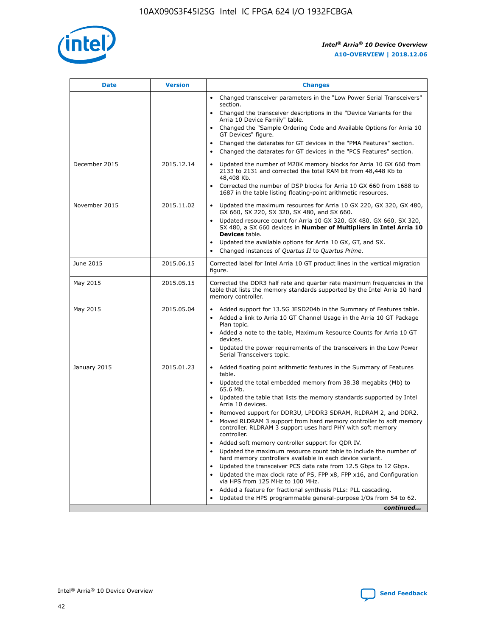

| <b>Date</b>   | <b>Version</b> | <b>Changes</b>                                                                                                                                                               |
|---------------|----------------|------------------------------------------------------------------------------------------------------------------------------------------------------------------------------|
|               |                | Changed transceiver parameters in the "Low Power Serial Transceivers"<br>$\bullet$<br>section.                                                                               |
|               |                | • Changed the transceiver descriptions in the "Device Variants for the<br>Arria 10 Device Family" table.                                                                     |
|               |                | • Changed the "Sample Ordering Code and Available Options for Arria 10<br>GT Devices" figure.                                                                                |
|               |                | Changed the datarates for GT devices in the "PMA Features" section.                                                                                                          |
|               |                | Changed the datarates for GT devices in the "PCS Features" section.<br>$\bullet$                                                                                             |
| December 2015 | 2015.12.14     | Updated the number of M20K memory blocks for Arria 10 GX 660 from<br>2133 to 2131 and corrected the total RAM bit from 48,448 Kb to<br>48,408 Kb.                            |
|               |                | Corrected the number of DSP blocks for Arria 10 GX 660 from 1688 to<br>$\bullet$<br>1687 in the table listing floating-point arithmetic resources.                           |
| November 2015 | 2015.11.02     | Updated the maximum resources for Arria 10 GX 220, GX 320, GX 480,<br>GX 660, SX 220, SX 320, SX 480, and SX 660.                                                            |
|               |                | Updated resource count for Arria 10 GX 320, GX 480, GX 660, SX 320,<br>SX 480, a SX 660 devices in Number of Multipliers in Intel Arria 10<br><b>Devices</b> table.          |
|               |                | Updated the available options for Arria 10 GX, GT, and SX.<br>$\bullet$                                                                                                      |
|               |                | Changed instances of Quartus II to Quartus Prime.<br>$\bullet$                                                                                                               |
| June 2015     | 2015.06.15     | Corrected label for Intel Arria 10 GT product lines in the vertical migration<br>figure.                                                                                     |
| May 2015      | 2015.05.15     | Corrected the DDR3 half rate and quarter rate maximum frequencies in the<br>table that lists the memory standards supported by the Intel Arria 10 hard<br>memory controller. |
| May 2015      | 2015.05.04     | • Added support for 13.5G JESD204b in the Summary of Features table.                                                                                                         |
|               |                | Added a link to Arria 10 GT Channel Usage in the Arria 10 GT Package<br>$\bullet$<br>Plan topic.                                                                             |
|               |                | • Added a note to the table, Maximum Resource Counts for Arria 10 GT<br>devices.                                                                                             |
|               |                | • Updated the power requirements of the transceivers in the Low Power<br>Serial Transceivers topic.                                                                          |
| January 2015  | 2015.01.23     | • Added floating point arithmetic features in the Summary of Features<br>table.                                                                                              |
|               |                | • Updated the total embedded memory from 38.38 megabits (Mb) to<br>65.6 Mb.                                                                                                  |
|               |                | • Updated the table that lists the memory standards supported by Intel<br>Arria 10 devices.                                                                                  |
|               |                | Removed support for DDR3U, LPDDR3 SDRAM, RLDRAM 2, and DDR2.                                                                                                                 |
|               |                | Moved RLDRAM 3 support from hard memory controller to soft memory<br>controller. RLDRAM 3 support uses hard PHY with soft memory<br>controller.                              |
|               |                | Added soft memory controller support for QDR IV.                                                                                                                             |
|               |                | Updated the maximum resource count table to include the number of<br>hard memory controllers available in each device variant.                                               |
|               |                | Updated the transceiver PCS data rate from 12.5 Gbps to 12 Gbps.                                                                                                             |
|               |                | Updated the max clock rate of PS, FPP x8, FPP x16, and Configuration<br>via HPS from 125 MHz to 100 MHz.                                                                     |
|               |                | Added a feature for fractional synthesis PLLs: PLL cascading.                                                                                                                |
|               |                | Updated the HPS programmable general-purpose I/Os from 54 to 62.<br>$\bullet$                                                                                                |
|               |                | continued                                                                                                                                                                    |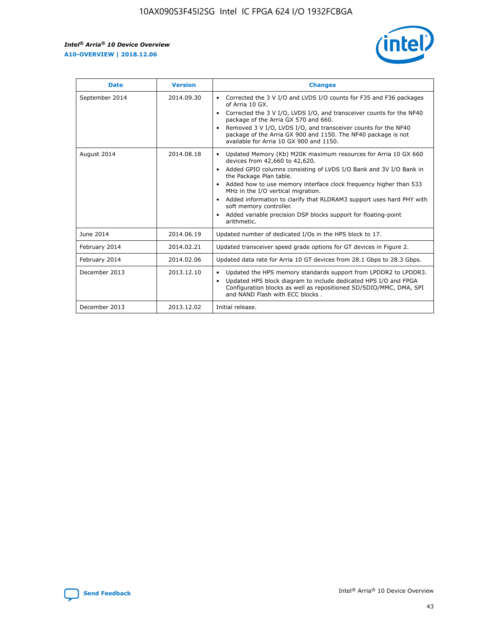r



| <b>Date</b>    | <b>Version</b> | <b>Changes</b>                                                                                                                                                                                                                                                                                                                                                                                                                                                                                                                                      |
|----------------|----------------|-----------------------------------------------------------------------------------------------------------------------------------------------------------------------------------------------------------------------------------------------------------------------------------------------------------------------------------------------------------------------------------------------------------------------------------------------------------------------------------------------------------------------------------------------------|
| September 2014 | 2014.09.30     | Corrected the 3 V I/O and LVDS I/O counts for F35 and F36 packages<br>$\bullet$<br>of Arria 10 GX.<br>Corrected the 3 V I/O, LVDS I/O, and transceiver counts for the NF40<br>$\bullet$<br>package of the Arria GX 570 and 660.<br>Removed 3 V I/O, LVDS I/O, and transceiver counts for the NF40<br>package of the Arria GX 900 and 1150. The NF40 package is not<br>available for Arria 10 GX 900 and 1150.                                                                                                                                       |
| August 2014    | 2014.08.18     | Updated Memory (Kb) M20K maximum resources for Arria 10 GX 660<br>devices from 42,660 to 42,620.<br>Added GPIO columns consisting of LVDS I/O Bank and 3V I/O Bank in<br>$\bullet$<br>the Package Plan table.<br>Added how to use memory interface clock frequency higher than 533<br>$\bullet$<br>MHz in the I/O vertical migration.<br>Added information to clarify that RLDRAM3 support uses hard PHY with<br>$\bullet$<br>soft memory controller.<br>Added variable precision DSP blocks support for floating-point<br>$\bullet$<br>arithmetic. |
| June 2014      | 2014.06.19     | Updated number of dedicated I/Os in the HPS block to 17.                                                                                                                                                                                                                                                                                                                                                                                                                                                                                            |
| February 2014  | 2014.02.21     | Updated transceiver speed grade options for GT devices in Figure 2.                                                                                                                                                                                                                                                                                                                                                                                                                                                                                 |
| February 2014  | 2014.02.06     | Updated data rate for Arria 10 GT devices from 28.1 Gbps to 28.3 Gbps.                                                                                                                                                                                                                                                                                                                                                                                                                                                                              |
| December 2013  | 2013.12.10     | Updated the HPS memory standards support from LPDDR2 to LPDDR3.<br>Updated HPS block diagram to include dedicated HPS I/O and FPGA<br>$\bullet$<br>Configuration blocks as well as repositioned SD/SDIO/MMC, DMA, SPI<br>and NAND Flash with ECC blocks.                                                                                                                                                                                                                                                                                            |
| December 2013  | 2013.12.02     | Initial release.                                                                                                                                                                                                                                                                                                                                                                                                                                                                                                                                    |